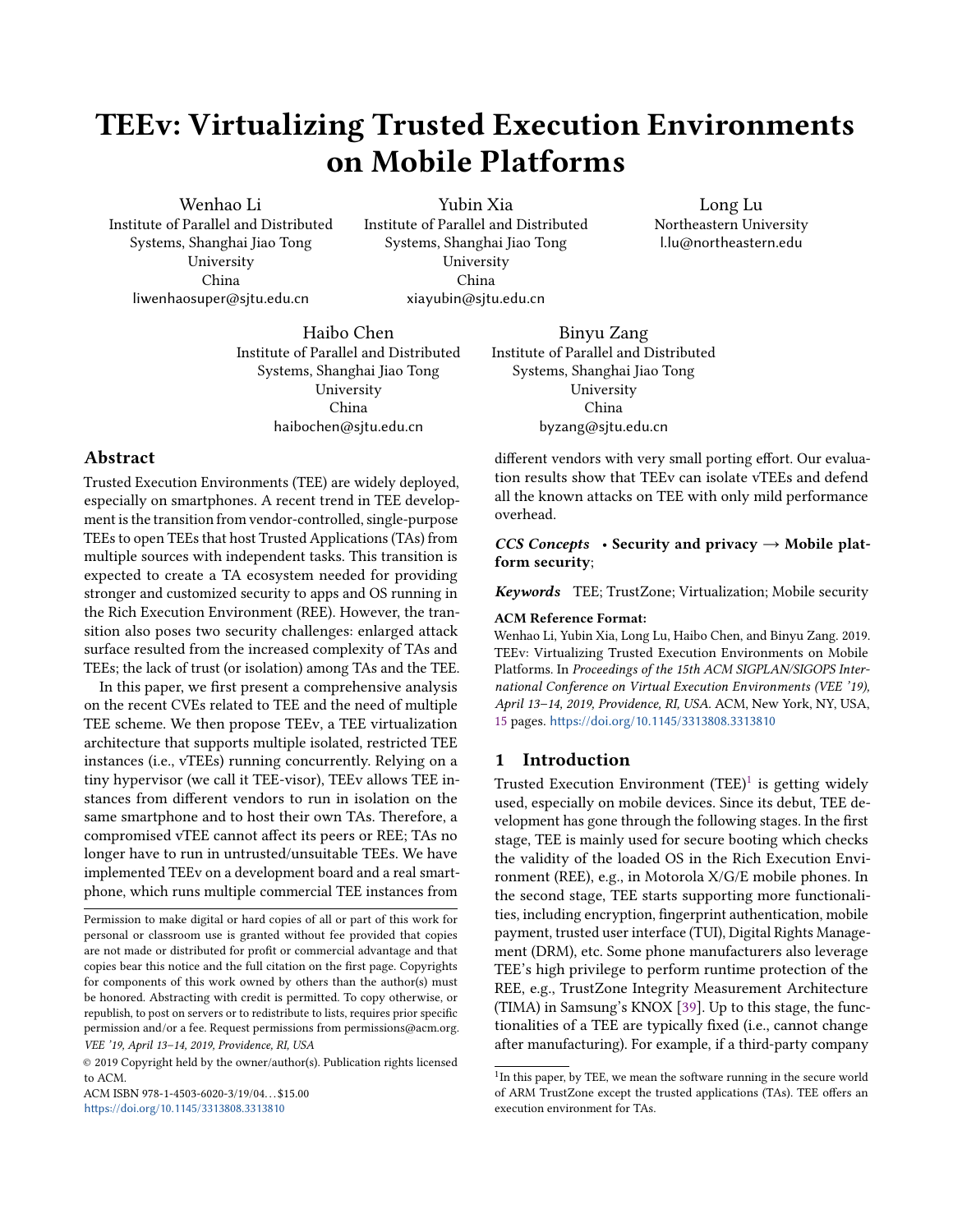# TEEv: Virtualizing Trusted Execution Environments on Mobile Platforms

Wenhao Li Institute of Parallel and Distributed Systems, Shanghai Jiao Tong University China liwenhaosuper@sjtu.edu.cn

Yubin Xia Institute of Parallel and Distributed Systems, Shanghai Jiao Tong University China xiayubin@sjtu.edu.cn

Long Lu Northeastern University l.lu@northeastern.edu

Haibo Chen Institute of Parallel and Distributed Systems, Shanghai Jiao Tong University China haibochen@sjtu.edu.cn

# Abstract

Trusted Execution Environments (TEE) are widely deployed, especially on smartphones. A recent trend in TEE development is the transition from vendor-controlled, single-purpose TEEs to open TEEs that host Trusted Applications (TAs) from multiple sources with independent tasks. This transition is expected to create a TA ecosystem needed for providing stronger and customized security to apps and OS running in the Rich Execution Environment (REE). However, the transition also poses two security challenges: enlarged attack surface resulted from the increased complexity of TAs and TEEs; the lack of trust (or isolation) among TAs and the TEE.

In this paper, we first present a comprehensive analysis on the recent CVEs related to TEE and the need of multiple TEE scheme. We then propose TEEv, a TEE virtualization architecture that supports multiple isolated, restricted TEE instances (i.e., vTEEs) running concurrently. Relying on a tiny hypervisor (we call it TEE-visor), TEEv allows TEE instances from different vendors to run in isolation on the same smartphone and to host their own TAs. Therefore, a compromised vTEE cannot affect its peers or REE; TAs no longer have to run in untrusted/unsuitable TEEs. We have implemented TEEv on a development board and a real smartphone, which runs multiple commercial TEE instances from

ACM ISBN 978-1-4503-6020-3/19/04... \$15.00 <https://doi.org/10.1145/3313808.3313810>

Binyu Zang Institute of Parallel and Distributed Systems, Shanghai Jiao Tong University China byzang@sjtu.edu.cn

different vendors with very small porting effort. Our evaluation results show that TEEv can isolate vTEEs and defend all the known attacks on TEE with only mild performance overhead.

CCS Concepts • Security and privacy  $\rightarrow$  Mobile platform security;

Keywords TEE; TrustZone; Virtualization; Mobile security

#### ACM Reference Format:

Wenhao Li, Yubin Xia, Long Lu, Haibo Chen, and Binyu Zang. 2019. TEEv: Virtualizing Trusted Execution Environments on Mobile Platforms. In Proceedings of the 15th ACM SIGPLAN/SIGOPS International Conference on Virtual Execution Environments (VEE '19), April 13–14, 2019, Providence, RI, USA. ACM, New York, NY, USA, [15](#page-14-0) pages. <https://doi.org/10.1145/3313808.3313810>

# 1 Introduction

Trusted Execution Environment (TEE)<sup>[1](#page-0-0)</sup> is getting widely used, especially on mobile devices. Since its debut, TEE development has gone through the following stages. In the first stage, TEE is mainly used for secure booting which checks the validity of the loaded OS in the Rich Execution Environment (REE), e.g., in Motorola X/G/E mobile phones. In the second stage, TEE starts supporting more functionalities, including encryption, fingerprint authentication, mobile payment, trusted user interface (TUI), Digital Rights Management (DRM), etc. Some phone manufacturers also leverage TEE's high privilege to perform runtime protection of the REE, e.g., TrustZone Integrity Measurement Architecture (TIMA) in Samsung's KNOX [\[39\]](#page-13-0). Up to this stage, the functionalities of a TEE are typically fixed (i.e., cannot change after manufacturing). For example, if a third-party company

Permission to make digital or hard copies of all or part of this work for personal or classroom use is granted without fee provided that copies are not made or distributed for profit or commercial advantage and that copies bear this notice and the full citation on the first page. Copyrights for components of this work owned by others than the author(s) must be honored. Abstracting with credit is permitted. To copy otherwise, or republish, to post on servers or to redistribute to lists, requires prior specific permission and/or a fee. Request permissions from permissions@acm.org. VEE '19, April 13–14, 2019, Providence, RI, USA

<sup>©</sup> 2019 Copyright held by the owner/author(s). Publication rights licensed to ACM.

<span id="page-0-0"></span><sup>&</sup>lt;sup>1</sup>In this paper, by TEE, we mean the software running in the secure world of ARM TrustZone except the trusted applications (TAs). TEE offers an execution environment for TAs.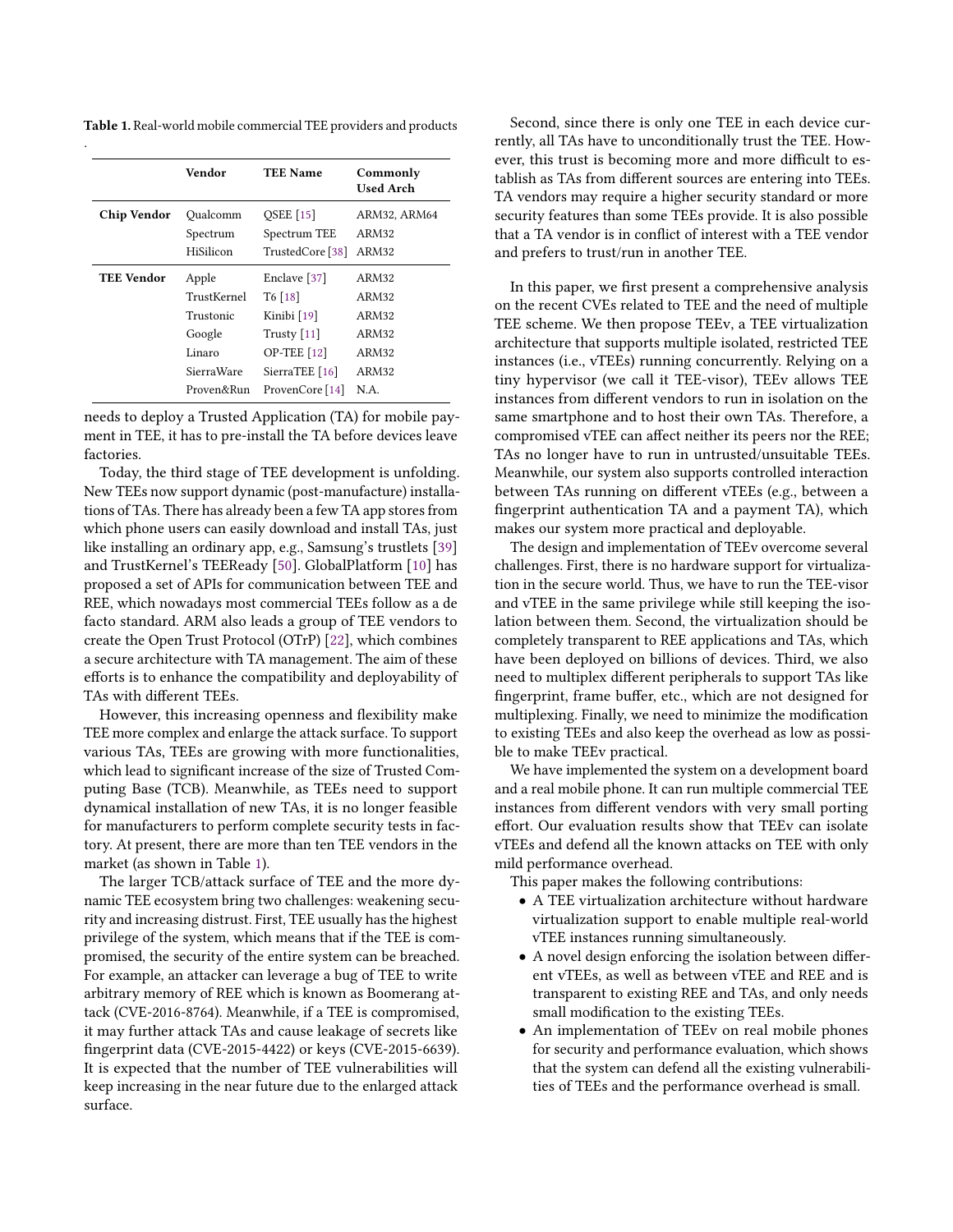<span id="page-1-0"></span>Table 1. Real-world mobile commercial TEE providers and products

|                            | Vendor      | <b>TEE Name</b>           | Commonly<br><b>Used Arch</b> |  |
|----------------------------|-------------|---------------------------|------------------------------|--|
| Chip Vendor                | Qualcomm    | <b>QSEE</b> [15]          | ARM32, ARM64                 |  |
|                            | Spectrum    | Spectrum TEE              | ARM32                        |  |
|                            | HiSilicon   | TrustedCore [38]          | ARM32                        |  |
| <b>TEE Vendor</b><br>Apple |             | Enclave [37]              | ARM32                        |  |
|                            | TrustKernel | $T6$ [18]                 | ARM32                        |  |
|                            | Trustonic   | Kinibi [19]               | ARM32                        |  |
|                            | Google      | Trusty $[11]$             | ARM32                        |  |
|                            | Linaro      | <b>OP-TEE</b> [12]        | ARM32                        |  |
|                            | SierraWare  | SierraTEE <sup>[16]</sup> | ARM32                        |  |
|                            |             |                           |                              |  |

needs to deploy a Trusted Application (TA) for mobile payment in TEE, it has to pre-install the TA before devices leave factories.

Today, the third stage of TEE development is unfolding. New TEEs now support dynamic (post-manufacture) installations of TAs. There has already been a few TA app stores from which phone users can easily download and install TAs, just like installing an ordinary app, e.g., Samsung's trustlets [\[39\]](#page-13-0) and TrustKernel's TEEReady [\[50\]](#page-13-3). GlobalPlatform [\[10\]](#page-12-7) has proposed a set of APIs for communication between TEE and REE, which nowadays most commercial TEEs follow as a de facto standard. ARM also leads a group of TEE vendors to create the Open Trust Protocol (OTrP) [\[22\]](#page-12-8), which combines a secure architecture with TA management. The aim of these efforts is to enhance the compatibility and deployability of TAs with different TEEs.

However, this increasing openness and flexibility make TEE more complex and enlarge the attack surface. To support various TAs, TEEs are growing with more functionalities, which lead to significant increase of the size of Trusted Computing Base (TCB). Meanwhile, as TEEs need to support dynamical installation of new TAs, it is no longer feasible for manufacturers to perform complete security tests in factory. At present, there are more than ten TEE vendors in the market (as shown in Table [1\)](#page-1-0).

The larger TCB/attack surface of TEE and the more dynamic TEE ecosystem bring two challenges: weakening security and increasing distrust. First, TEE usually has the highest privilege of the system, which means that if the TEE is compromised, the security of the entire system can be breached. For example, an attacker can leverage a bug of TEE to write arbitrary memory of REE which is known as Boomerang attack (CVE-2016-8764). Meanwhile, if a TEE is compromised, it may further attack TAs and cause leakage of secrets like fingerprint data (CVE-2015-4422) or keys (CVE-2015-6639). It is expected that the number of TEE vulnerabilities will keep increasing in the near future due to the enlarged attack surface.

Second, since there is only one TEE in each device currently, all TAs have to unconditionally trust the TEE. However, this trust is becoming more and more difficult to establish as TAs from different sources are entering into TEEs. TA vendors may require a higher security standard or more security features than some TEEs provide. It is also possible that a TA vendor is in conflict of interest with a TEE vendor and prefers to trust/run in another TEE.

In this paper, we first present a comprehensive analysis on the recent CVEs related to TEE and the need of multiple TEE scheme. We then propose TEEv, a TEE virtualization architecture that supports multiple isolated, restricted TEE instances (i.e., vTEEs) running concurrently. Relying on a tiny hypervisor (we call it TEE-visor), TEEv allows TEE instances from different vendors to run in isolation on the same smartphone and to host their own TAs. Therefore, a compromised vTEE can affect neither its peers nor the REE; TAs no longer have to run in untrusted/unsuitable TEEs. Meanwhile, our system also supports controlled interaction between TAs running on different vTEEs (e.g., between a fingerprint authentication TA and a payment TA), which makes our system more practical and deployable.

The design and implementation of TEEv overcome several challenges. First, there is no hardware support for virtualization in the secure world. Thus, we have to run the TEE-visor and vTEE in the same privilege while still keeping the isolation between them. Second, the virtualization should be completely transparent to REE applications and TAs, which have been deployed on billions of devices. Third, we also need to multiplex different peripherals to support TAs like fingerprint, frame buffer, etc., which are not designed for multiplexing. Finally, we need to minimize the modification to existing TEEs and also keep the overhead as low as possible to make TEEv practical.

We have implemented the system on a development board and a real mobile phone. It can run multiple commercial TEE instances from different vendors with very small porting effort. Our evaluation results show that TEEv can isolate vTEEs and defend all the known attacks on TEE with only mild performance overhead.

This paper makes the following contributions:

- A TEE virtualization architecture without hardware virtualization support to enable multiple real-world vTEE instances running simultaneously.
- A novel design enforcing the isolation between different vTEEs, as well as between vTEE and REE and is transparent to existing REE and TAs, and only needs small modification to the existing TEEs.
- An implementation of TEEv on real mobile phones for security and performance evaluation, which shows that the system can defend all the existing vulnerabilities of TEEs and the performance overhead is small.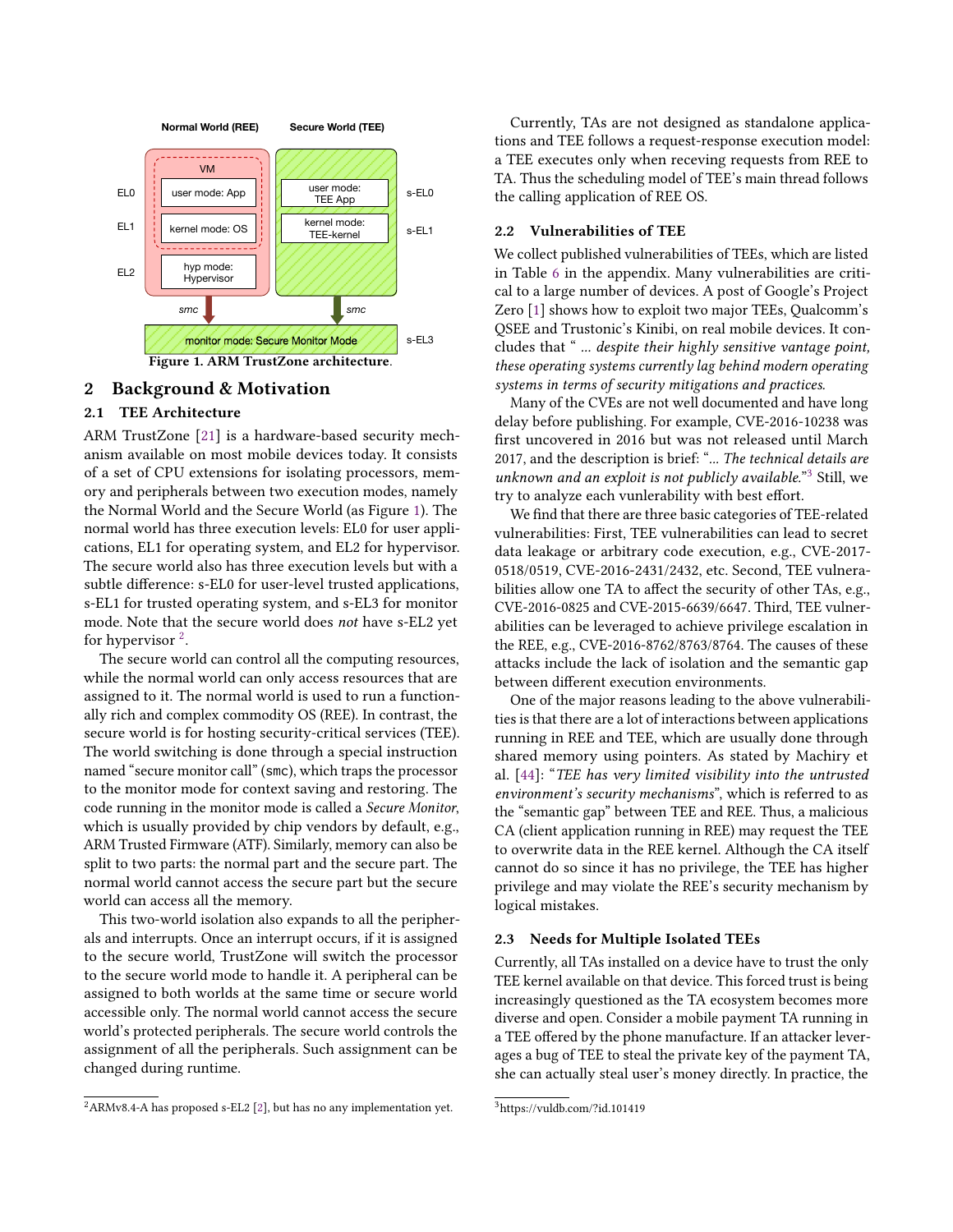<span id="page-2-0"></span>

# 2 Background & Motivation

# 2.1 TEE Architecture

ARM TrustZone [\[21\]](#page-12-9) is a hardware-based security mechanism available on most mobile devices today. It consists of a set of CPU extensions for isolating processors, memory and peripherals between two execution modes, namely the Normal World and the Secure World (as Figure [1\)](#page-2-0). The normal world has three execution levels: EL0 for user applications, EL1 for operating system, and EL2 for hypervisor. The secure world also has three execution levels but with a subtle difference: s-EL0 for user-level trusted applications, s-EL1 for trusted operating system, and s-EL3 for monitor mode. Note that the secure world does not have s-EL2 yet for hypervisor  $2$ .

The secure world can control all the computing resources, while the normal world can only access resources that are assigned to it. The normal world is used to run a functionally rich and complex commodity OS (REE). In contrast, the secure world is for hosting security-critical services (TEE). The world switching is done through a special instruction named "secure monitor call" (smc), which traps the processor to the monitor mode for context saving and restoring. The code running in the monitor mode is called a Secure Monitor, which is usually provided by chip vendors by default, e.g., ARM Trusted Firmware (ATF). Similarly, memory can also be split to two parts: the normal part and the secure part. The normal world cannot access the secure part but the secure world can access all the memory.

This two-world isolation also expands to all the peripherals and interrupts. Once an interrupt occurs, if it is assigned to the secure world, TrustZone will switch the processor to the secure world mode to handle it. A peripheral can be assigned to both worlds at the same time or secure world accessible only. The normal world cannot access the secure world's protected peripherals. The secure world controls the assignment of all the peripherals. Such assignment can be changed during runtime.

Currently, TAs are not designed as standalone applications and TEE follows a request-response execution model: a TEE executes only when receving requests from REE to TA. Thus the scheduling model of TEE's main thread follows the calling application of REE OS.

# 2.2 Vulnerabilities of TEE

We collect published vulnerabilities of TEEs, which are listed in Table [6](#page-14-1) in the appendix. Many vulnerabilities are critical to a large number of devices. A post of Google's Project Zero [\[1\]](#page-12-11) shows how to exploit two major TEEs, Qualcomm's QSEE and Trustonic's Kinibi, on real mobile devices. It concludes that " ... despite their highly sensitive vantage point, these operating systems currently lag behind modern operating systems in terms of security mitigations and practices.

Many of the CVEs are not well documented and have long delay before publishing. For example, CVE-2016-10238 was first uncovered in 2016 but was not released until March 2017, and the description is brief: "... The technical details are unknown and an exploit is not publicly available."<sup>[3](#page-2-2)</sup> Still, we try to analyze each vunlerability with best effort.

We find that there are three basic categories of TEE-related vulnerabilities: First, TEE vulnerabilities can lead to secret data leakage or arbitrary code execution, e.g., CVE-2017- 0518/0519, CVE-2016-2431/2432, etc. Second, TEE vulnerabilities allow one TA to affect the security of other TAs, e.g., CVE-2016-0825 and CVE-2015-6639/6647. Third, TEE vulnerabilities can be leveraged to achieve privilege escalation in the REE, e.g., CVE-2016-8762/8763/8764. The causes of these attacks include the lack of isolation and the semantic gap between different execution environments.

One of the major reasons leading to the above vulnerabilities is that there are a lot of interactions between applications running in REE and TEE, which are usually done through shared memory using pointers. As stated by Machiry et al. [\[44\]](#page-13-4): "TEE has very limited visibility into the untrusted environment's security mechanisms", which is referred to as the "semantic gap" between TEE and REE. Thus, a malicious CA (client application running in REE) may request the TEE to overwrite data in the REE kernel. Although the CA itself cannot do so since it has no privilege, the TEE has higher privilege and may violate the REE's security mechanism by logical mistakes.

#### 2.3 Needs for Multiple Isolated TEEs

Currently, all TAs installed on a device have to trust the only TEE kernel available on that device. This forced trust is being increasingly questioned as the TA ecosystem becomes more diverse and open. Consider a mobile payment TA running in a TEE offered by the phone manufacture. If an attacker leverages a bug of TEE to steal the private key of the payment TA, she can actually steal user's money directly. In practice, the

<span id="page-2-1"></span> ${}^{2}$ ARMv8.4-A has proposed s-EL2 [\[2\]](#page-12-10), but has no any implementation yet.

<span id="page-2-2"></span><sup>3</sup>https://vuldb.com/?id.101419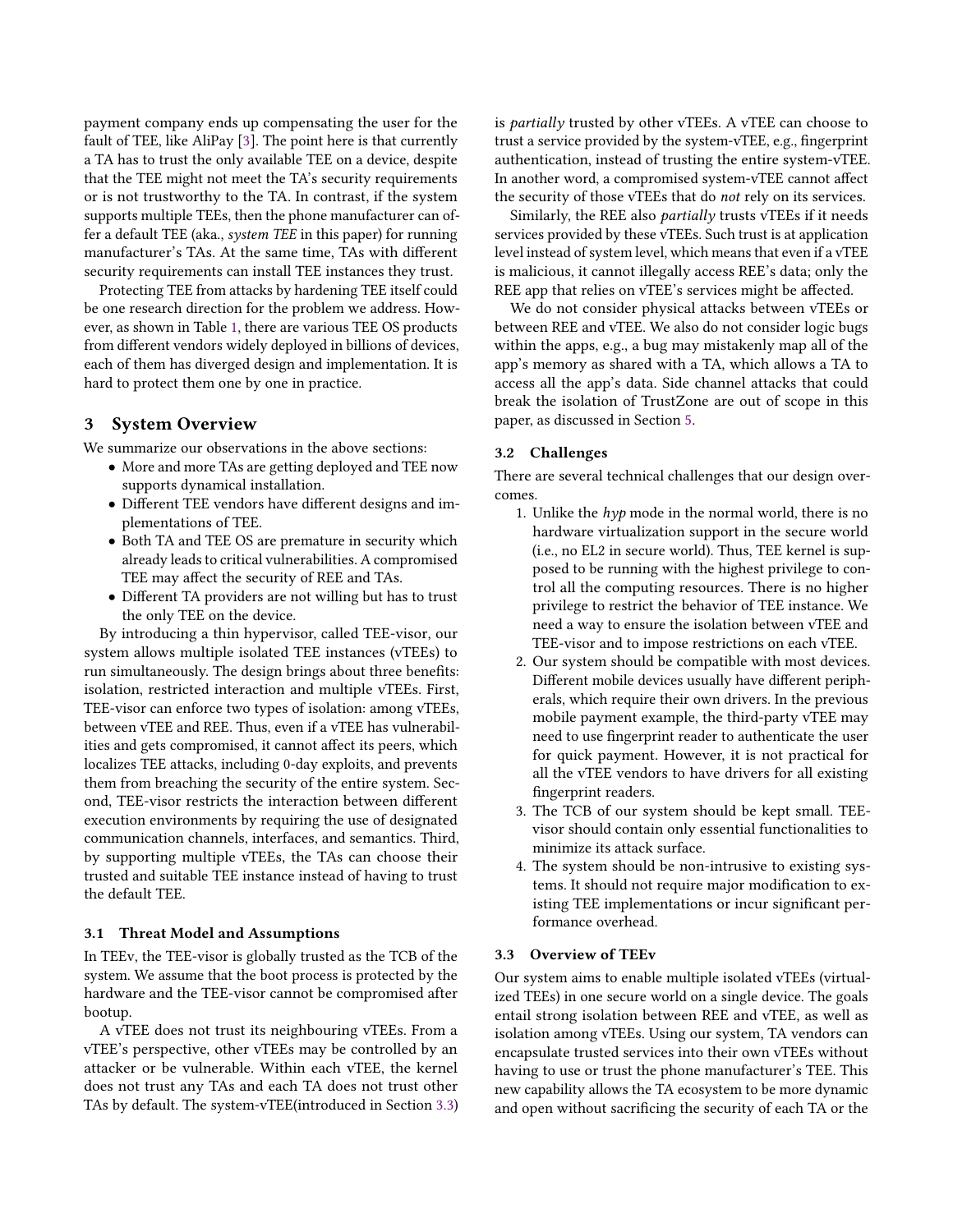payment company ends up compensating the user for the fault of TEE, like AliPay [\[3\]](#page-12-12). The point here is that currently a TA has to trust the only available TEE on a device, despite that the TEE might not meet the TA's security requirements or is not trustworthy to the TA. In contrast, if the system supports multiple TEEs, then the phone manufacturer can offer a default TEE (aka., system TEE in this paper) for running manufacturer's TAs. At the same time, TAs with different security requirements can install TEE instances they trust.

Protecting TEE from attacks by hardening TEE itself could be one research direction for the problem we address. However, as shown in Table [1,](#page-1-0) there are various TEE OS products from different vendors widely deployed in billions of devices, each of them has diverged design and implementation. It is hard to protect them one by one in practice.

# 3 System Overview

We summarize our observations in the above sections:

- More and more TAs are getting deployed and TEE now supports dynamical installation.
- Different TEE vendors have different designs and implementations of TEE.
- Both TA and TEE OS are premature in security which already leads to critical vulnerabilities. A compromised TEE may affect the security of REE and TAs.
- Different TA providers are not willing but has to trust the only TEE on the device.

By introducing a thin hypervisor, called TEE-visor, our system allows multiple isolated TEE instances (vTEEs) to run simultaneously. The design brings about three benefits: isolation, restricted interaction and multiple vTEEs. First, TEE-visor can enforce two types of isolation: among vTEEs, between vTEE and REE. Thus, even if a vTEE has vulnerabilities and gets compromised, it cannot affect its peers, which localizes TEE attacks, including 0-day exploits, and prevents them from breaching the security of the entire system. Second, TEE-visor restricts the interaction between different execution environments by requiring the use of designated communication channels, interfaces, and semantics. Third, by supporting multiple vTEEs, the TAs can choose their trusted and suitable TEE instance instead of having to trust the default TEE.

#### 3.1 Threat Model and Assumptions

In TEEv, the TEE-visor is globally trusted as the TCB of the system. We assume that the boot process is protected by the hardware and the TEE-visor cannot be compromised after bootup.

A vTEE does not trust its neighbouring vTEEs. From a vTEE's perspective, other vTEEs may be controlled by an attacker or be vulnerable. Within each vTEE, the kernel does not trust any TAs and each TA does not trust other TAs by default. The system-vTEE(introduced in Section [3.3\)](#page-3-0) is partially trusted by other vTEEs. A vTEE can choose to trust a service provided by the system-vTEE, e.g., fingerprint authentication, instead of trusting the entire system-vTEE. In another word, a compromised system-vTEE cannot affect the security of those vTEEs that do not rely on its services.

Similarly, the REE also *partially* trusts vTEEs if it needs services provided by these vTEEs. Such trust is at application level instead of system level, which means that even if a vTEE is malicious, it cannot illegally access REE's data; only the REE app that relies on vTEE's services might be affected.

We do not consider physical attacks between vTEEs or between REE and vTEE. We also do not consider logic bugs within the apps, e.g., a bug may mistakenly map all of the app's memory as shared with a TA, which allows a TA to access all the app's data. Side channel attacks that could break the isolation of TrustZone are out of scope in this paper, as discussed in Section [5.](#page-8-0)

#### 3.2 Challenges

There are several technical challenges that our design overcomes.

- 1. Unlike the  $hyp$  mode in the normal world, there is no hardware virtualization support in the secure world (i.e., no EL2 in secure world). Thus, TEE kernel is supposed to be running with the highest privilege to control all the computing resources. There is no higher privilege to restrict the behavior of TEE instance. We need a way to ensure the isolation between vTEE and TEE-visor and to impose restrictions on each vTEE.
- 2. Our system should be compatible with most devices. Different mobile devices usually have different peripherals, which require their own drivers. In the previous mobile payment example, the third-party vTEE may need to use fingerprint reader to authenticate the user for quick payment. However, it is not practical for all the vTEE vendors to have drivers for all existing fingerprint readers.
- 3. The TCB of our system should be kept small. TEEvisor should contain only essential functionalities to minimize its attack surface.
- 4. The system should be non-intrusive to existing systems. It should not require major modification to existing TEE implementations or incur significant performance overhead.

#### <span id="page-3-0"></span>3.3 Overview of TEEv

Our system aims to enable multiple isolated vTEEs (virtualized TEEs) in one secure world on a single device. The goals entail strong isolation between REE and vTEE, as well as isolation among vTEEs. Using our system, TA vendors can encapsulate trusted services into their own vTEEs without having to use or trust the phone manufacturer's TEE. This new capability allows the TA ecosystem to be more dynamic and open without sacrificing the security of each TA or the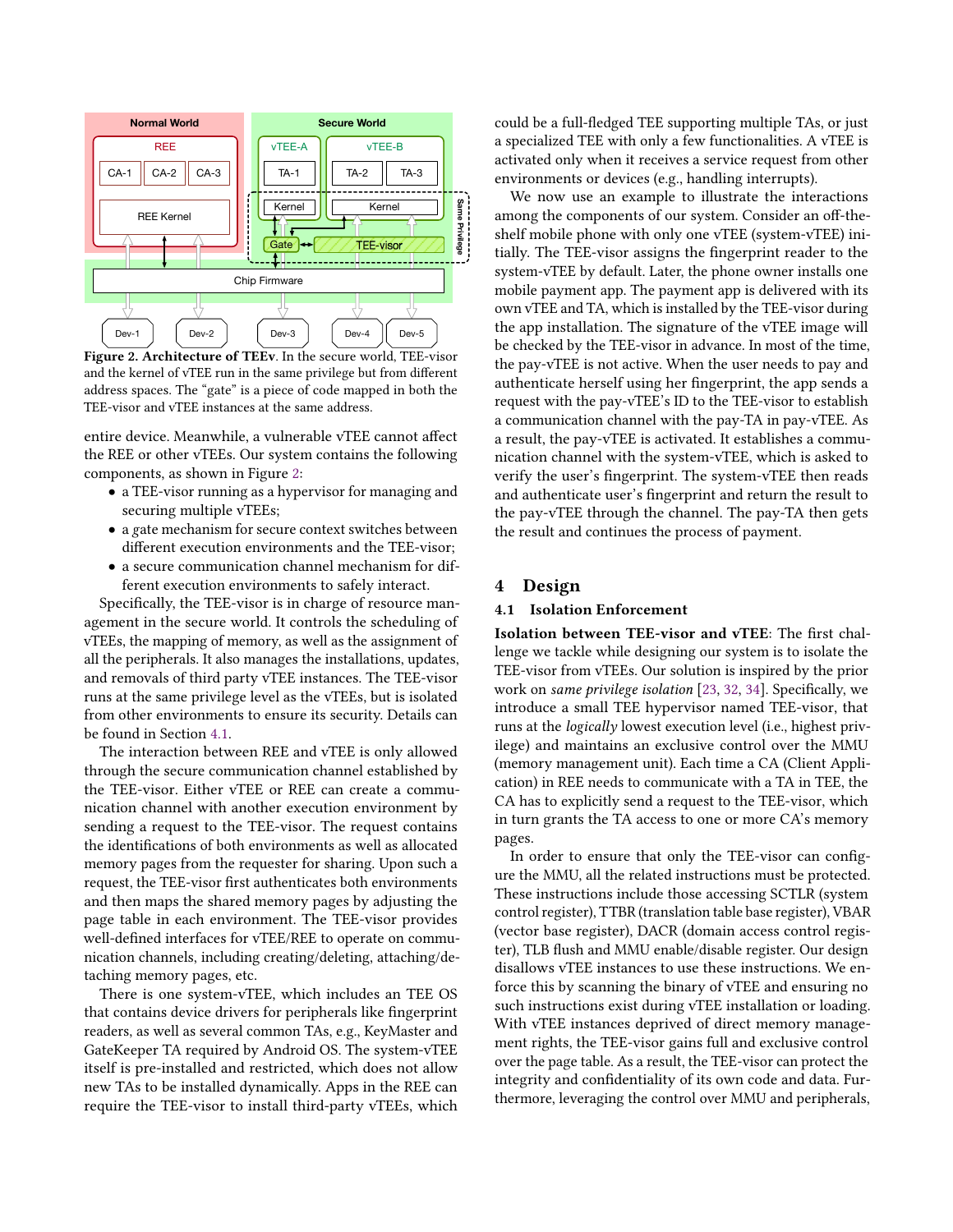<span id="page-4-0"></span>

Figure 2. Architecture of TEEv. In the secure world, TEE-visor and the kernel of vTEE run in the same privilege but from different address spaces. The "gate" is a piece of code mapped in both the TEE-visor and vTEE instances at the same address.

entire device. Meanwhile, a vulnerable vTEE cannot affect the REE or other vTEEs. Our system contains the following components, as shown in Figure [2:](#page-4-0)

- a TEE-visor running as a hypervisor for managing and securing multiple vTEEs;
- a gate mechanism for secure context switches between different execution environments and the TEE-visor;
- a secure communication channel mechanism for different execution environments to safely interact.

Specifically, the TEE-visor is in charge of resource management in the secure world. It controls the scheduling of vTEEs, the mapping of memory, as well as the assignment of all the peripherals. It also manages the installations, updates, and removals of third party vTEE instances. The TEE-visor runs at the same privilege level as the vTEEs, but is isolated from other environments to ensure its security. Details can be found in Section [4.1.](#page-4-1)

The interaction between REE and vTEE is only allowed through the secure communication channel established by the TEE-visor. Either vTEE or REE can create a communication channel with another execution environment by sending a request to the TEE-visor. The request contains the identifications of both environments as well as allocated memory pages from the requester for sharing. Upon such a request, the TEE-visor first authenticates both environments and then maps the shared memory pages by adjusting the page table in each environment. The TEE-visor provides well-defined interfaces for vTEE/REE to operate on communication channels, including creating/deleting, attaching/detaching memory pages, etc.

There is one system-vTEE, which includes an TEE OS that contains device drivers for peripherals like fingerprint readers, as well as several common TAs, e.g., KeyMaster and GateKeeper TA required by Android OS. The system-vTEE itself is pre-installed and restricted, which does not allow new TAs to be installed dynamically. Apps in the REE can require the TEE-visor to install third-party vTEEs, which

could be a full-fledged TEE supporting multiple TAs, or just a specialized TEE with only a few functionalities. A vTEE is activated only when it receives a service request from other environments or devices (e.g., handling interrupts).

We now use an example to illustrate the interactions among the components of our system. Consider an off-theshelf mobile phone with only one vTEE (system-vTEE) initially. The TEE-visor assigns the fingerprint reader to the system-vTEE by default. Later, the phone owner installs one mobile payment app. The payment app is delivered with its own vTEE and TA, which is installed by the TEE-visor during the app installation. The signature of the vTEE image will be checked by the TEE-visor in advance. In most of the time, the pay-vTEE is not active. When the user needs to pay and authenticate herself using her fingerprint, the app sends a request with the pay-vTEE's ID to the TEE-visor to establish a communication channel with the pay-TA in pay-vTEE. As a result, the pay-vTEE is activated. It establishes a communication channel with the system-vTEE, which is asked to verify the user's fingerprint. The system-vTEE then reads and authenticate user's fingerprint and return the result to the pay-vTEE through the channel. The pay-TA then gets the result and continues the process of payment.

#### 4 Design

#### <span id="page-4-1"></span>4.1 Isolation Enforcement

Isolation between TEE-visor and vTEE: The first challenge we tackle while designing our system is to isolate the TEE-visor from vTEEs. Our solution is inspired by the prior work on same privilege isolation [\[23,](#page-12-13) [32,](#page-13-5) [34\]](#page-13-6). Specifically, we introduce a small TEE hypervisor named TEE-visor, that runs at the logically lowest execution level (i.e., highest privilege) and maintains an exclusive control over the MMU (memory management unit). Each time a CA (Client Application) in REE needs to communicate with a TA in TEE, the CA has to explicitly send a request to the TEE-visor, which in turn grants the TA access to one or more CA's memory pages.

In order to ensure that only the TEE-visor can configure the MMU, all the related instructions must be protected. These instructions include those accessing SCTLR (system control register), TTBR (translation table base register), VBAR (vector base register), DACR (domain access control register), TLB flush and MMU enable/disable register. Our design disallows vTEE instances to use these instructions. We enforce this by scanning the binary of vTEE and ensuring no such instructions exist during vTEE installation or loading. With vTEE instances deprived of direct memory management rights, the TEE-visor gains full and exclusive control over the page table. As a result, the TEE-visor can protect the integrity and confidentiality of its own code and data. Furthermore, leveraging the control over MMU and peripherals,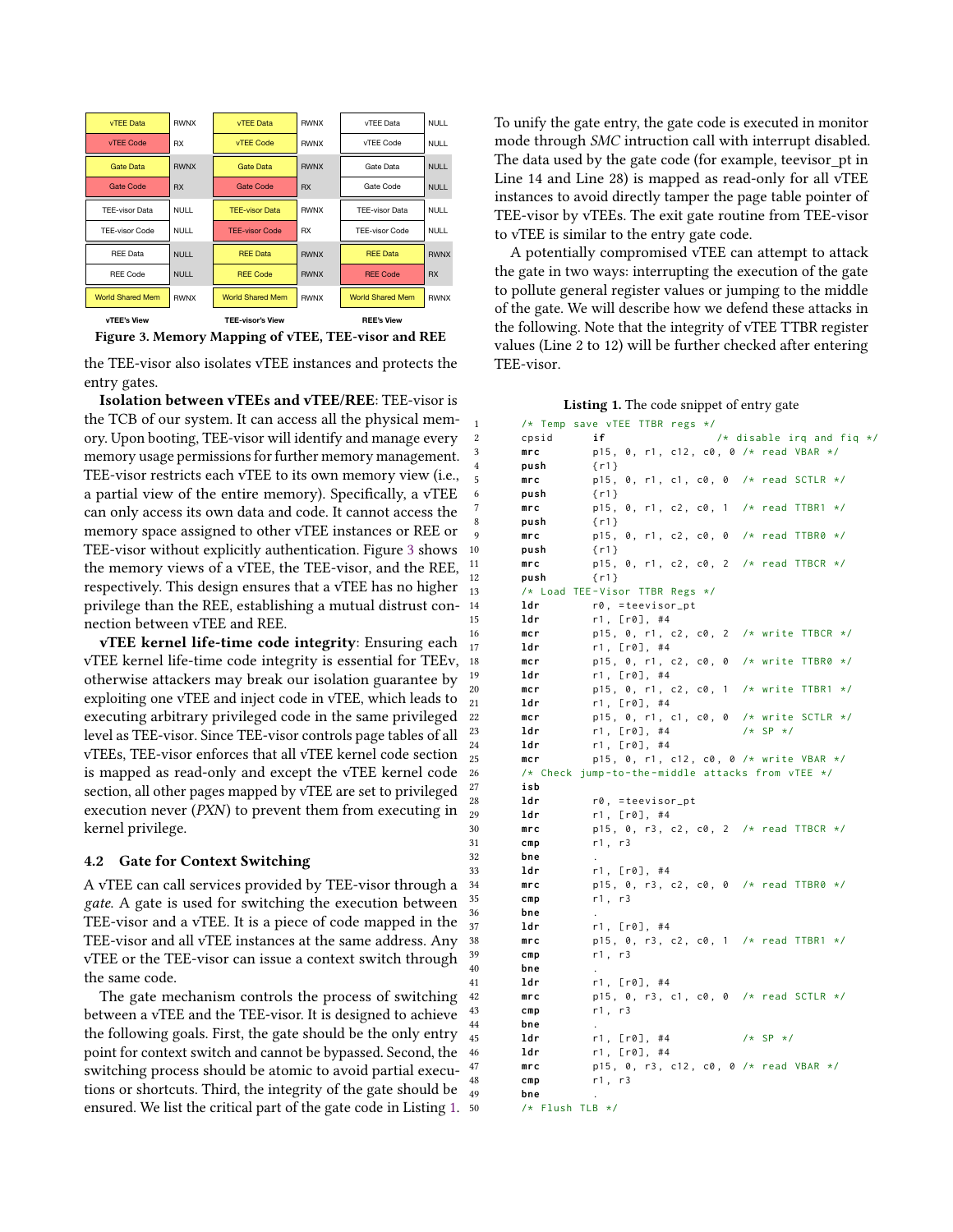<span id="page-5-0"></span>



the TEE-visor also isolates vTEE instances and protects the entry gates.

Isolation between vTEEs and vTEE/REE: TEE-visor is the TCB of our system. It can access all the physical memory. Upon booting, TEE-visor will identify and manage every memory usage permissions for further memory management. TEE-visor restricts each vTEE to its own memory view (i.e., a partial view of the entire memory). Specifically, a vTEE can only access its own data and code. It cannot access the memory space assigned to other vTEE instances or REE or TEE-visor without explicitly authentication. Figure [3](#page-5-0) shows the memory views of a vTEE, the TEE-visor, and the REE, respectively. This design ensures that a vTEE has no higher privilege than the REE, establishing a mutual distrust connection between vTEE and REE.

vTEE kernel life-time code integrity: Ensuring each vTEE kernel life-time code integrity is essential for TEEv, otherwise attackers may break our isolation guarantee by exploiting one vTEE and inject code in vTEE, which leads to executing arbitrary privileged code in the same privileged level as TEE-visor. Since TEE-visor controls page tables of all vTEEs, TEE-visor enforces that all vTEE kernel code section is mapped as read-only and except the vTEE kernel code section, all other pages mapped by vTEE are set to privileged execution never (PXN) to prevent them from executing in kernel privilege.

#### 4.2 Gate for Context Switching

A vTEE can call services provided by TEE-visor through a gate. A gate is used for switching the execution between TEE-visor and a vTEE. It is a piece of code mapped in the TEE-visor and all vTEE instances at the same address. Any vTEE or the TEE-visor can issue a context switch through the same code.

The gate mechanism controls the process of switching between a vTEE and the TEE-visor. It is designed to achieve the following goals. First, the gate should be the only entry point for context switch and cannot be bypassed. Second, the switching process should be atomic to avoid partial executions or shortcuts. Third, the integrity of the gate should be ensured. We list the critical part of the gate code in Listing [1.](#page-5-1) To unify the gate entry, the gate code is executed in monitor mode through SMC intruction call with interrupt disabled. The data used by the gate code (for example, teevisor pt in Line 14 and Line 28) is mapped as read-only for all vTEE instances to avoid directly tamper the page table pointer of TEE-visor by vTEEs. The exit gate routine from TEE-visor to vTEE is similar to the entry gate code.

A potentially compromised vTEE can attempt to attack the gate in two ways: interrupting the execution of the gate to pollute general register values or jumping to the middle of the gate. We will describe how we defend these attacks in the following. Note that the integrity of vTEE TTBR register values (Line 2 to 12) will be further checked after entering TEE-visor.

Listing 1. The code snippet of entry gate

<span id="page-5-1"></span>

| 1                |       | /* Temp save vTEE TTBR regs */                        |
|------------------|-------|-------------------------------------------------------|
| $\boldsymbol{2}$ | cpsid | if<br>/* disable irq and fiq $*/$                     |
| 3                | mrc   | p15, 0, r1, c12, c0, 0 /* read VBAR */                |
| $\overline{4}$   | push  | $\{r1\}$                                              |
| 5                | mnc   | $p15$ , 0, r1, c1, c0, 0 /* read SCTLR */             |
| 6                | push  | $\{r1\}$                                              |
| 7                | mnc   | p15, 0, r1, c2, c0, 1<br>$/*$ read TTBR1<br>$\star$ / |
| 8                | push  | $\{r1\}$                                              |
| 9                | mnc   | p15, 0, r1, c2, c0, 0<br>$/*$ read TTBR0 $*/$         |
| 10               | push  | $\{r1\}$                                              |
| 11               | mrc   | $p15$ , 0, r1, c2, c0, 2 /* read TTBCR */             |
| 12               | push  | $\{r1\}$                                              |
| 13               |       | /* Load TEE-Visor TTBR Regs */                        |
| 14               | ldr   | $r\theta$ , =teevisor_pt                              |
| 15               | ldr   | r1, [r0], #4                                          |
| 16               | mcr   | p15, 0, r1, c2, c0, 2 /* write TTBCR */               |
| 17               | ldr   | r1, [r0], #4                                          |
| 18               | mcr   | p15, 0, r1, c2, c0, 0 /* write TTBR0 */               |
| 19               | ldr   | r1, [r0], #4                                          |
| 20               | mcr   | p15, 0, r1, c2, c0, 1<br>$/*$ write TTBR1 $*/$        |
| 21               | ldr   | r1, [r0], #4                                          |
| 22               | mcr   | p15, 0, r1, c1, c0, 0<br>/* write SCTLR */            |
| 23               | ldr   | $r1$ , [ $r0$ ], #4<br>$/* SP * /$                    |
| 24               | ldr   | r1, [r0], #4                                          |
| 25               | mcr   | p15, 0, r1, c12, c0, 0 /* write VBAR */               |
| 26               |       | /* Check jump-to-the-middle attacks from vTEE */      |
| 27               | isb   |                                                       |
| 28               | ldr   | $r\theta$ , =teevisor_pt                              |
| 29               | ldr   | r1, [r0], #4                                          |
| 30               | mnc   | p15, 0, r3, c2, c0, 2 /* read TTBCR */                |
| 31               | cmp   | r1, r3                                                |
| 32               | bne   |                                                       |
| 33               | ldr   | r1, [r0], #4                                          |
| 34               | mrc   | $p15$ , 0, r3, c2, c0, 0 /* read TTBR0 */             |
| 35               | cmp   | r1, r3                                                |
| 36               | bne   |                                                       |
| 37               | ldr   | r1, [r0], #4                                          |
| 38               | mrc   | p15, 0, r3, c2, c0, 1 /* read TTBR1 */                |
| 39               | cmp   | r1, r3                                                |
| 40               | bne   |                                                       |
| 41               | ldr   | r1, [r0], #4                                          |
| 42               | mrc   | $p15$ , 0, r3, c1, c0, 0 /* read SCTLR */             |
| 43               | cmp   | r1, r3                                                |
| 44               | bne   |                                                       |
| 45               | ldr   | $/* SP * /$<br>r1, [r0], #4                           |
| 46               | ldr   | r1, [r0], #4                                          |
| 47               | mrc   | p15, 0, r3, c12, c0, 0 /* read VBAR */                |
| 48               | cmp   | r1, r3                                                |
| 49               | bne   |                                                       |
|                  |       |                                                       |

```
/* Flush TLB */
```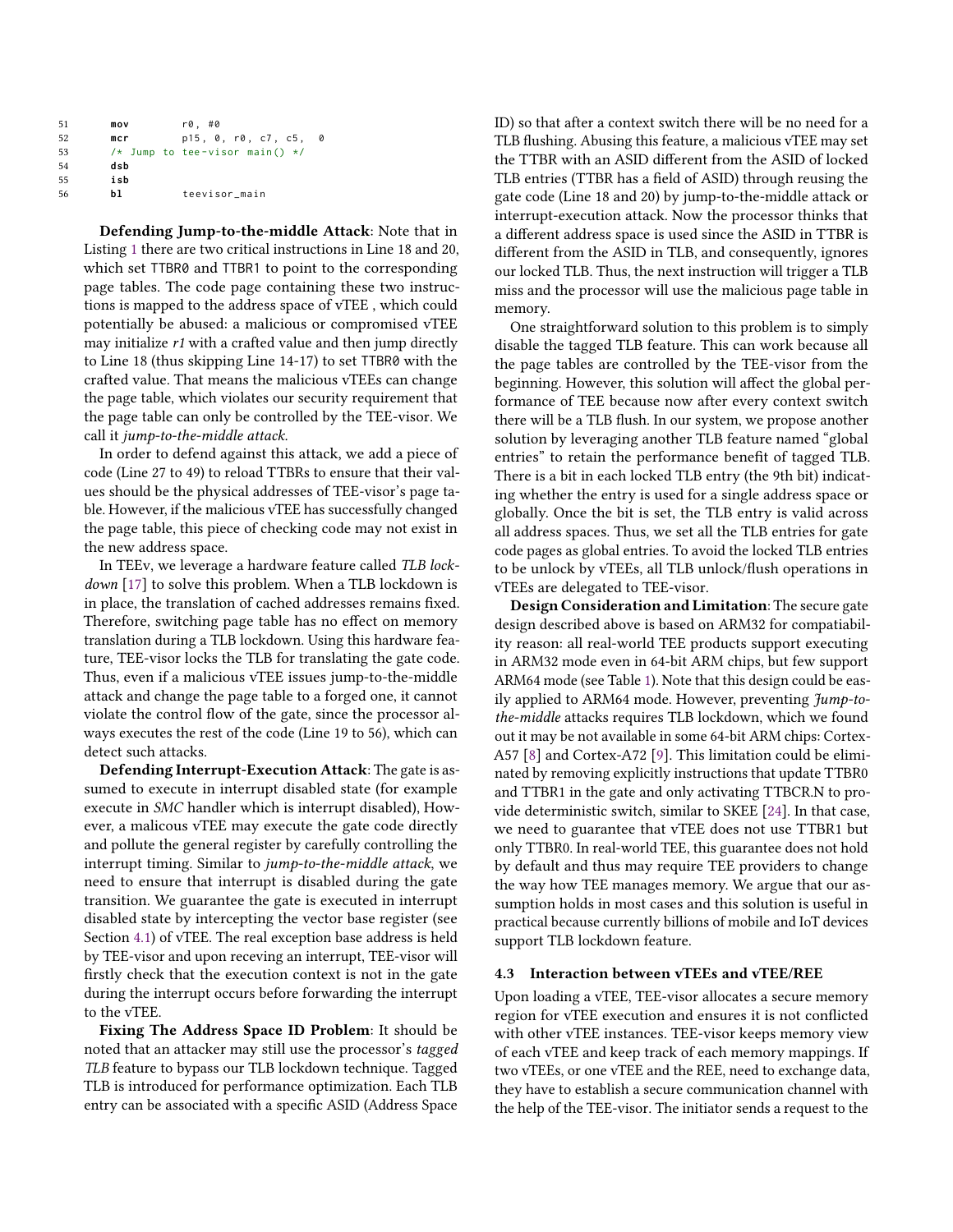| 51 | mov | r0. #0                           |  |
|----|-----|----------------------------------|--|
| 52 | mcr | p15, 0, r0, c7, c5,<br>0         |  |
| 53 |     | /* Jump to tee-visor main() $*/$ |  |
| 54 | dsb |                                  |  |
| 55 | isb |                                  |  |
| 56 | h1. | teevisor_main                    |  |

Defending Jump-to-the-middle Attack: Note that in Listing [1](#page-5-1) there are two critical instructions in Line 18 and 20, which set TTBR0 and TTBR1 to point to the corresponding page tables. The code page containing these two instructions is mapped to the address space of vTEE , which could potentially be abused: a malicious or compromised vTEE may initialize r1 with a crafted value and then jump directly to Line 18 (thus skipping Line 14-17) to set TTBR0 with the crafted value. That means the malicious vTEEs can change the page table, which violates our security requirement that the page table can only be controlled by the TEE-visor. We call it jump-to-the-middle attack.

In order to defend against this attack, we add a piece of code (Line 27 to 49) to reload TTBRs to ensure that their values should be the physical addresses of TEE-visor's page table. However, if the malicious vTEE has successfully changed the page table, this piece of checking code may not exist in the new address space.

In TEEv, we leverage a hardware feature called TLB lock-down [\[17\]](#page-12-14) to solve this problem. When a TLB lockdown is in place, the translation of cached addresses remains fixed. Therefore, switching page table has no effect on memory translation during a TLB lockdown. Using this hardware feature, TEE-visor locks the TLB for translating the gate code. Thus, even if a malicious vTEE issues jump-to-the-middle attack and change the page table to a forged one, it cannot violate the control flow of the gate, since the processor always executes the rest of the code (Line 19 to 56), which can detect such attacks.

Defending Interrupt-Execution Attack: The gate is assumed to execute in interrupt disabled state (for example execute in SMC handler which is interrupt disabled), However, a malicous vTEE may execute the gate code directly and pollute the general register by carefully controlling the interrupt timing. Similar to jump-to-the-middle attack, we need to ensure that interrupt is disabled during the gate transition. We guarantee the gate is executed in interrupt disabled state by intercepting the vector base register (see Section [4.1\)](#page-4-1) of vTEE. The real exception base address is held by TEE-visor and upon receving an interrupt, TEE-visor will firstly check that the execution context is not in the gate during the interrupt occurs before forwarding the interrupt to the vTEE.

Fixing The Address Space ID Problem: It should be noted that an attacker may still use the processor's tagged TLB feature to bypass our TLB lockdown technique. Tagged TLB is introduced for performance optimization. Each TLB entry can be associated with a specific ASID (Address Space ID) so that after a context switch there will be no need for a TLB flushing. Abusing this feature, a malicious vTEE may set the TTBR with an ASID different from the ASID of locked TLB entries (TTBR has a field of ASID) through reusing the gate code (Line 18 and 20) by jump-to-the-middle attack or interrupt-execution attack. Now the processor thinks that a different address space is used since the ASID in TTBR is different from the ASID in TLB, and consequently, ignores our locked TLB. Thus, the next instruction will trigger a TLB miss and the processor will use the malicious page table in memory.

One straightforward solution to this problem is to simply disable the tagged TLB feature. This can work because all the page tables are controlled by the TEE-visor from the beginning. However, this solution will affect the global performance of TEE because now after every context switch there will be a TLB flush. In our system, we propose another solution by leveraging another TLB feature named "global entries" to retain the performance benefit of tagged TLB. There is a bit in each locked TLB entry (the 9th bit) indicating whether the entry is used for a single address space or globally. Once the bit is set, the TLB entry is valid across all address spaces. Thus, we set all the TLB entries for gate code pages as global entries. To avoid the locked TLB entries to be unlock by vTEEs, all TLB unlock/flush operations in vTEEs are delegated to TEE-visor.

Design Consideration and Limitation: The secure gate design described above is based on ARM32 for compatiability reason: all real-world TEE products support executing in ARM32 mode even in 64-bit ARM chips, but few support ARM64 mode (see Table [1\)](#page-1-0). Note that this design could be easily applied to ARM64 mode. However, preventing Jump-tothe-middle attacks requires TLB lockdown, which we found out it may be not available in some 64-bit ARM chips: Cortex-A57 [\[8\]](#page-12-15) and Cortex-A72 [\[9\]](#page-12-16). This limitation could be eliminated by removing explicitly instructions that update TTBR0 and TTBR1 in the gate and only activating TTBCR.N to provide deterministic switch, similar to SKEE [\[24\]](#page-12-17). In that case, we need to guarantee that vTEE does not use TTBR1 but only TTBR0. In real-world TEE, this guarantee does not hold by default and thus may require TEE providers to change the way how TEE manages memory. We argue that our assumption holds in most cases and this solution is useful in practical because currently billions of mobile and IoT devices support TLB lockdown feature.

#### 4.3 Interaction between vTEEs and vTEE/REE

Upon loading a vTEE, TEE-visor allocates a secure memory region for vTEE execution and ensures it is not conflicted with other vTEE instances. TEE-visor keeps memory view of each vTEE and keep track of each memory mappings. If two vTEEs, or one vTEE and the REE, need to exchange data, they have to establish a secure communication channel with the help of the TEE-visor. The initiator sends a request to the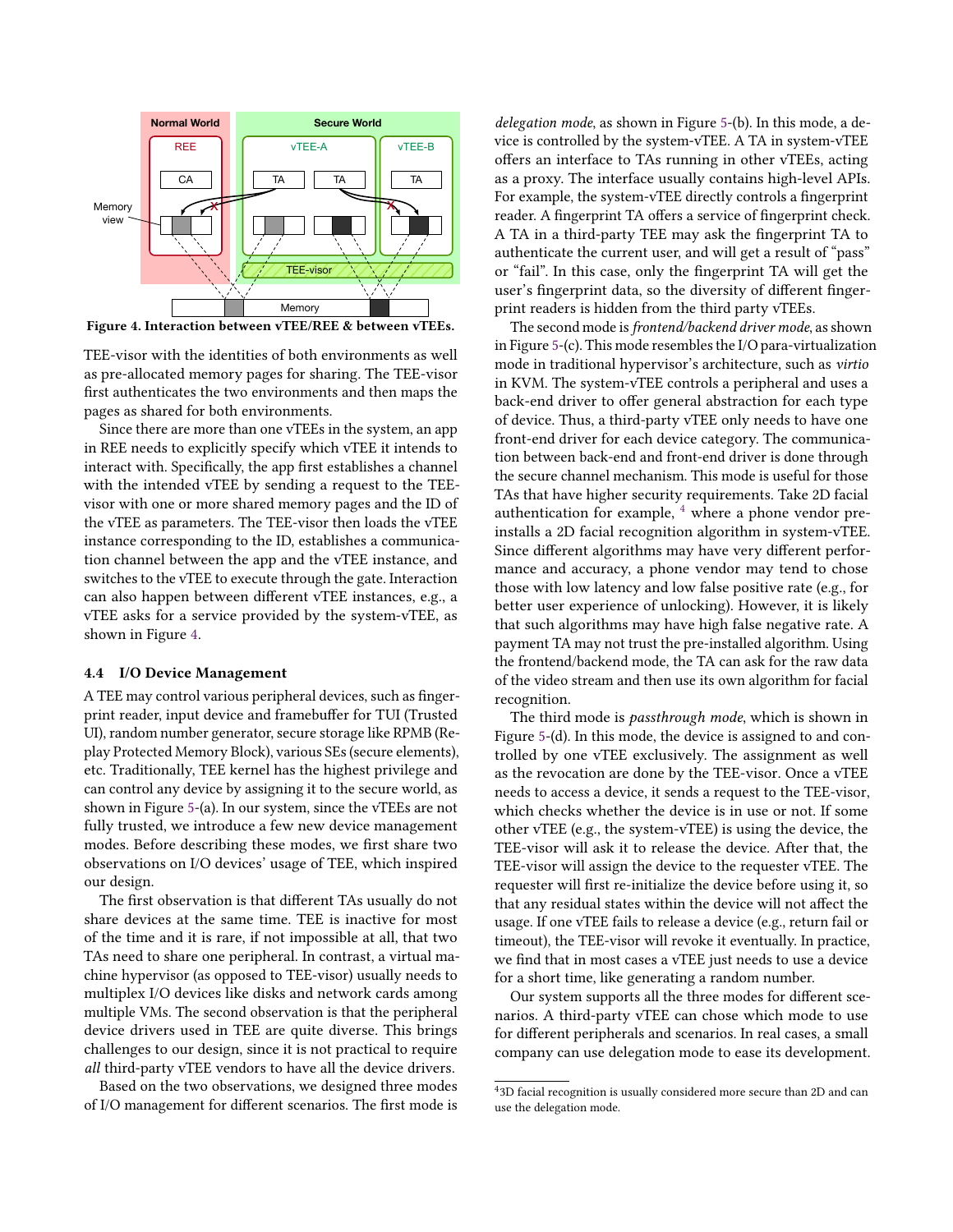<span id="page-7-0"></span>

Figure 4. Interaction between vTEE/REE & between vTEEs.

TEE-visor with the identities of both environments as well as pre-allocated memory pages for sharing. The TEE-visor first authenticates the two environments and then maps the pages as shared for both environments.

Since there are more than one vTEEs in the system, an app in REE needs to explicitly specify which vTEE it intends to interact with. Specifically, the app first establishes a channel with the intended vTEE by sending a request to the TEEvisor with one or more shared memory pages and the ID of the vTEE as parameters. The TEE-visor then loads the vTEE instance corresponding to the ID, establishes a communication channel between the app and the vTEE instance, and switches to the vTEE to execute through the gate. Interaction can also happen between different vTEE instances, e.g., a vTEE asks for a service provided by the system-vTEE, as shown in Figure [4.](#page-7-0)

#### 4.4 I/O Device Management

A TEE may control various peripheral devices, such as fingerprint reader, input device and framebuffer for TUI (Trusted UI), random number generator, secure storage like RPMB (Replay Protected Memory Block), various SEs (secure elements), etc. Traditionally, TEE kernel has the highest privilege and can control any device by assigning it to the secure world, as shown in Figure [5-](#page-8-1)(a). In our system, since the vTEEs are not fully trusted, we introduce a few new device management modes. Before describing these modes, we first share two observations on I/O devices' usage of TEE, which inspired our design.

The first observation is that different TAs usually do not share devices at the same time. TEE is inactive for most of the time and it is rare, if not impossible at all, that two TAs need to share one peripheral. In contrast, a virtual machine hypervisor (as opposed to TEE-visor) usually needs to multiplex I/O devices like disks and network cards among multiple VMs. The second observation is that the peripheral device drivers used in TEE are quite diverse. This brings challenges to our design, since it is not practical to require all third-party vTEE vendors to have all the device drivers.

Based on the two observations, we designed three modes of I/O management for different scenarios. The first mode is

delegation mode, as shown in Figure [5-](#page-8-1)(b). In this mode, a device is controlled by the system-vTEE. A TA in system-vTEE offers an interface to TAs running in other vTEEs, acting as a proxy. The interface usually contains high-level APIs. For example, the system-vTEE directly controls a fingerprint reader. A fingerprint TA offers a service of fingerprint check. A TA in a third-party TEE may ask the fingerprint TA to authenticate the current user, and will get a result of "pass" or "fail". In this case, only the fingerprint TA will get the user's fingerprint data, so the diversity of different fingerprint readers is hidden from the third party vTEEs.

The second mode is frontend/backend driver mode, as shown in Figure [5-](#page-8-1)(c). This mode resembles the I/O para-virtualization mode in traditional hypervisor's architecture, such as virtio in KVM. The system-vTEE controls a peripheral and uses a back-end driver to offer general abstraction for each type of device. Thus, a third-party vTEE only needs to have one front-end driver for each device category. The communication between back-end and front-end driver is done through the secure channel mechanism. This mode is useful for those TAs that have higher security requirements. Take 2D facial authentication for example,  $4$  where a phone vendor preinstalls a 2D facial recognition algorithm in system-vTEE. Since different algorithms may have very different performance and accuracy, a phone vendor may tend to chose those with low latency and low false positive rate (e.g., for better user experience of unlocking). However, it is likely that such algorithms may have high false negative rate. A payment TA may not trust the pre-installed algorithm. Using the frontend/backend mode, the TA can ask for the raw data of the video stream and then use its own algorithm for facial recognition.

The third mode is passthrough mode, which is shown in Figure [5-](#page-8-1)(d). In this mode, the device is assigned to and controlled by one vTEE exclusively. The assignment as well as the revocation are done by the TEE-visor. Once a vTEE needs to access a device, it sends a request to the TEE-visor, which checks whether the device is in use or not. If some other vTEE (e.g., the system-vTEE) is using the device, the TEE-visor will ask it to release the device. After that, the TEE-visor will assign the device to the requester vTEE. The requester will first re-initialize the device before using it, so that any residual states within the device will not affect the usage. If one vTEE fails to release a device (e.g., return fail or timeout), the TEE-visor will revoke it eventually. In practice, we find that in most cases a vTEE just needs to use a device for a short time, like generating a random number.

Our system supports all the three modes for different scenarios. A third-party vTEE can chose which mode to use for different peripherals and scenarios. In real cases, a small company can use delegation mode to ease its development.

<span id="page-7-1"></span><sup>4</sup> 3D facial recognition is usually considered more secure than 2D and can use the delegation mode.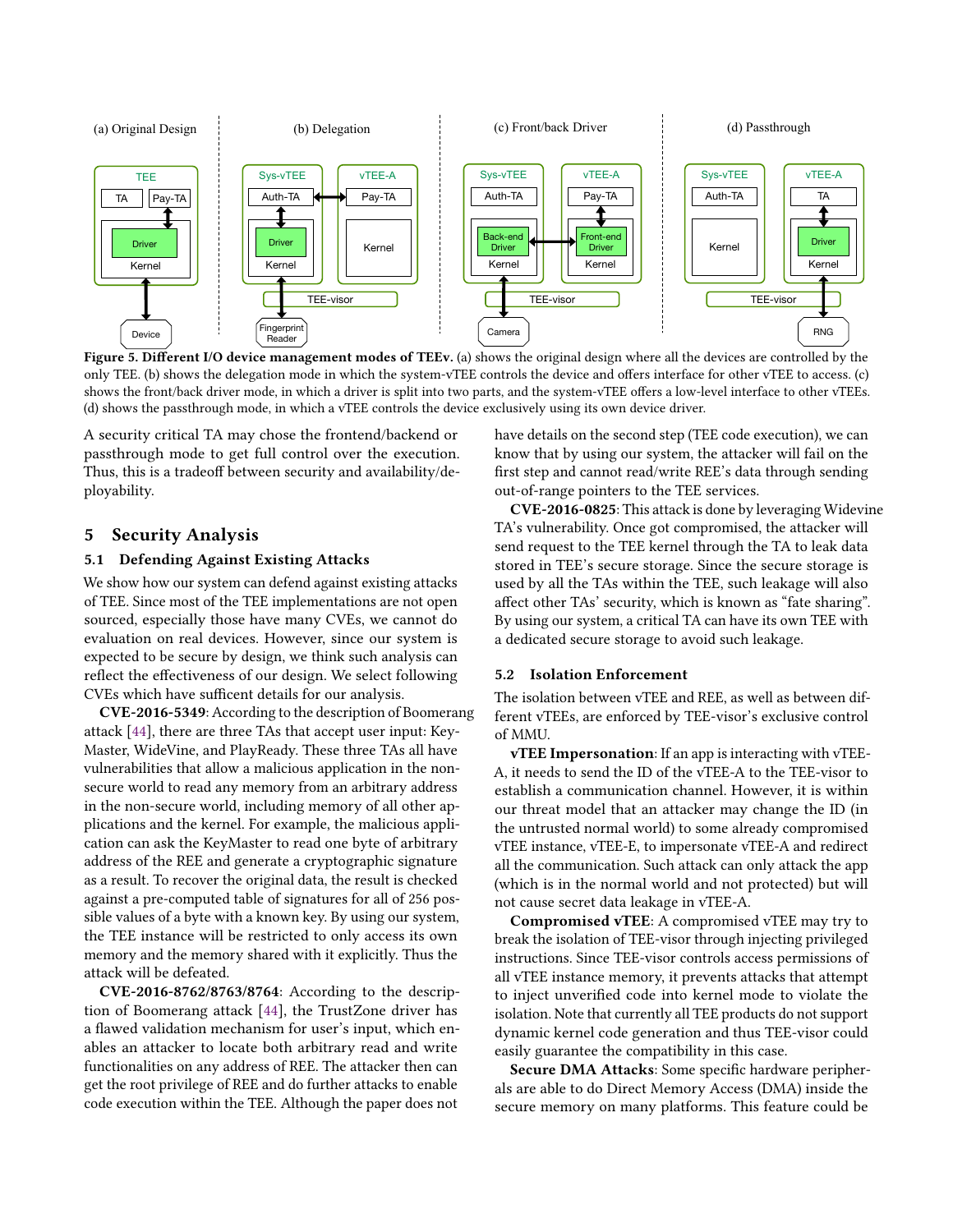<span id="page-8-1"></span>

Figure 5. Different I/O device management modes of TEEv. (a) shows the original design where all the devices are controlled by the only TEE. (b) shows the delegation mode in which the system-vTEE controls the device and offers interface for other vTEE to access. (c) shows the front/back driver mode, in which a driver is split into two parts, and the system-vTEE offers a low-level interface to other vTEEs. (d) shows the passthrough mode, in which a vTEE controls the device exclusively using its own device driver.

A security critical TA may chose the frontend/backend or passthrough mode to get full control over the execution. Thus, this is a tradeoff between security and availability/deployability.

# <span id="page-8-0"></span>5 Security Analysis

#### 5.1 Defending Against Existing Attacks

We show how our system can defend against existing attacks of TEE. Since most of the TEE implementations are not open sourced, especially those have many CVEs, we cannot do evaluation on real devices. However, since our system is expected to be secure by design, we think such analysis can reflect the effectiveness of our design. We select following CVEs which have sufficent details for our analysis.

CVE-2016-5349: According to the description of Boomerang attack [\[44\]](#page-13-4), there are three TAs that accept user input: Key-Master, WideVine, and PlayReady. These three TAs all have vulnerabilities that allow a malicious application in the nonsecure world to read any memory from an arbitrary address in the non-secure world, including memory of all other applications and the kernel. For example, the malicious application can ask the KeyMaster to read one byte of arbitrary address of the REE and generate a cryptographic signature as a result. To recover the original data, the result is checked against a pre-computed table of signatures for all of 256 possible values of a byte with a known key. By using our system, the TEE instance will be restricted to only access its own memory and the memory shared with it explicitly. Thus the attack will be defeated.

CVE-2016-8762/8763/8764: According to the description of Boomerang attack [\[44\]](#page-13-4), the TrustZone driver has a flawed validation mechanism for user's input, which enables an attacker to locate both arbitrary read and write functionalities on any address of REE. The attacker then can get the root privilege of REE and do further attacks to enable code execution within the TEE. Although the paper does not

have details on the second step (TEE code execution), we can know that by using our system, the attacker will fail on the first step and cannot read/write REE's data through sending out-of-range pointers to the TEE services.

CVE-2016-0825: This attack is done by leveraging Widevine TA's vulnerability. Once got compromised, the attacker will send request to the TEE kernel through the TA to leak data stored in TEE's secure storage. Since the secure storage is used by all the TAs within the TEE, such leakage will also affect other TAs' security, which is known as "fate sharing". By using our system, a critical TA can have its own TEE with a dedicated secure storage to avoid such leakage.

# 5.2 Isolation Enforcement

The isolation between vTEE and REE, as well as between different vTEEs, are enforced by TEE-visor's exclusive control of MMU.

vTEE Impersonation: If an app is interacting with vTEE-A, it needs to send the ID of the vTEE-A to the TEE-visor to establish a communication channel. However, it is within our threat model that an attacker may change the ID (in the untrusted normal world) to some already compromised vTEE instance, vTEE-E, to impersonate vTEE-A and redirect all the communication. Such attack can only attack the app (which is in the normal world and not protected) but will not cause secret data leakage in vTEE-A.

Compromised vTEE: A compromised vTEE may try to break the isolation of TEE-visor through injecting privileged instructions. Since TEE-visor controls access permissions of all vTEE instance memory, it prevents attacks that attempt to inject unverified code into kernel mode to violate the isolation. Note that currently all TEE products do not support dynamic kernel code generation and thus TEE-visor could easily guarantee the compatibility in this case.

Secure DMA Attacks: Some specific hardware peripherals are able to do Direct Memory Access (DMA) inside the secure memory on many platforms. This feature could be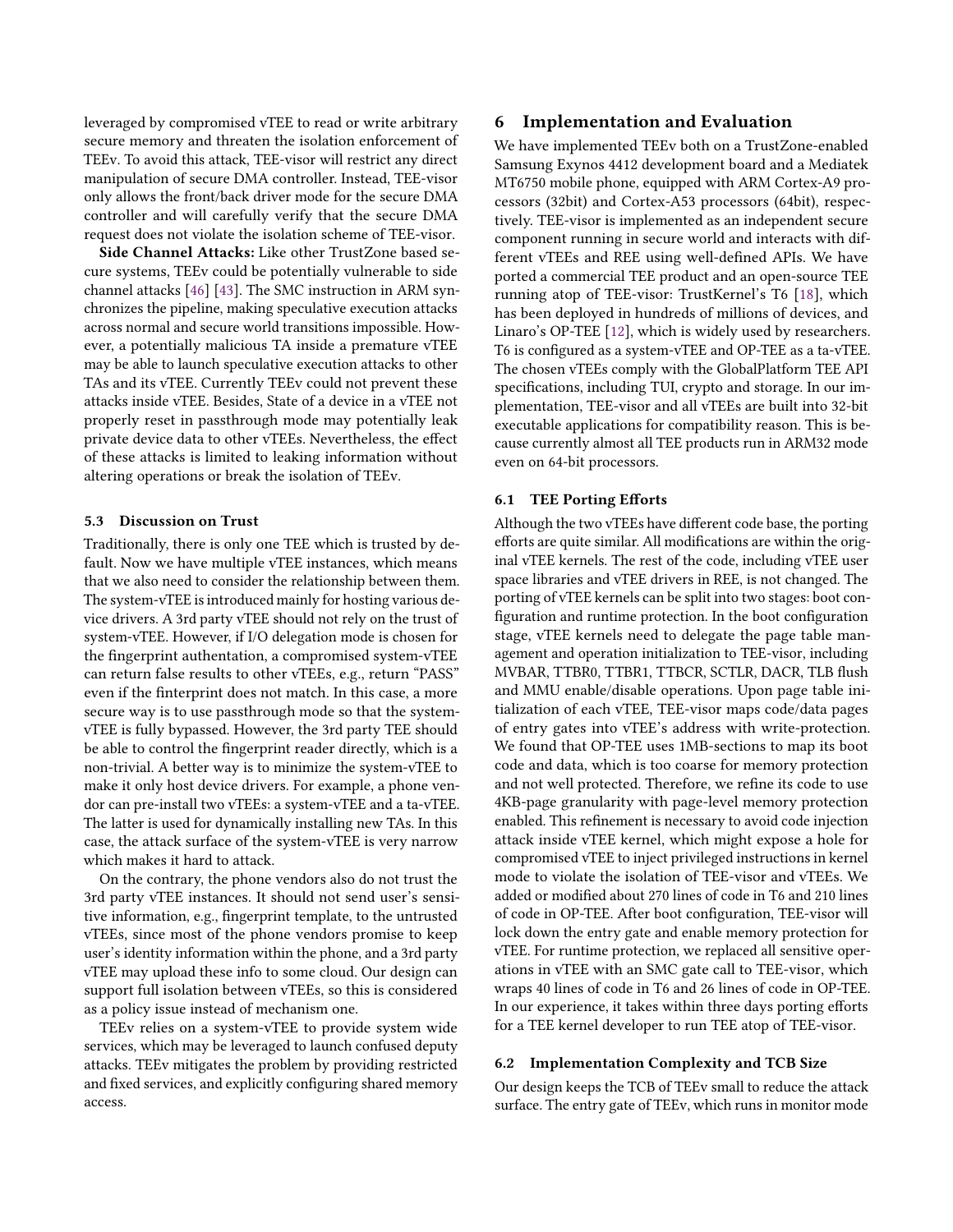leveraged by compromised vTEE to read or write arbitrary secure memory and threaten the isolation enforcement of TEEv. To avoid this attack, TEE-visor will restrict any direct manipulation of secure DMA controller. Instead, TEE-visor only allows the front/back driver mode for the secure DMA controller and will carefully verify that the secure DMA request does not violate the isolation scheme of TEE-visor.

Side Channel Attacks: Like other TrustZone based secure systems, TEEv could be potentially vulnerable to side channel attacks [\[46\]](#page-13-7) [\[43\]](#page-13-8). The SMC instruction in ARM synchronizes the pipeline, making speculative execution attacks across normal and secure world transitions impossible. However, a potentially malicious TA inside a premature vTEE may be able to launch speculative execution attacks to other TAs and its vTEE. Currently TEEv could not prevent these attacks inside vTEE. Besides, State of a device in a vTEE not properly reset in passthrough mode may potentially leak private device data to other vTEEs. Nevertheless, the effect of these attacks is limited to leaking information without altering operations or break the isolation of TEEv.

#### 5.3 Discussion on Trust

Traditionally, there is only one TEE which is trusted by default. Now we have multiple vTEE instances, which means that we also need to consider the relationship between them. The system-vTEE is introduced mainly for hosting various device drivers. A 3rd party vTEE should not rely on the trust of system-vTEE. However, if I/O delegation mode is chosen for the fingerprint authentation, a compromised system-vTEE can return false results to other vTEEs, e.g., return "PASS" even if the finterprint does not match. In this case, a more secure way is to use passthrough mode so that the systemvTEE is fully bypassed. However, the 3rd party TEE should be able to control the fingerprint reader directly, which is a non-trivial. A better way is to minimize the system-vTEE to make it only host device drivers. For example, a phone vendor can pre-install two vTEEs: a system-vTEE and a ta-vTEE. The latter is used for dynamically installing new TAs. In this case, the attack surface of the system-vTEE is very narrow which makes it hard to attack.

On the contrary, the phone vendors also do not trust the 3rd party vTEE instances. It should not send user's sensitive information, e.g., fingerprint template, to the untrusted vTEEs, since most of the phone vendors promise to keep user's identity information within the phone, and a 3rd party vTEE may upload these info to some cloud. Our design can support full isolation between vTEEs, so this is considered as a policy issue instead of mechanism one.

TEEv relies on a system-vTEE to provide system wide services, which may be leveraged to launch confused deputy attacks. TEEv mitigates the problem by providing restricted and fixed services, and explicitly configuring shared memory access.

# 6 Implementation and Evaluation

We have implemented TEEv both on a TrustZone-enabled Samsung Exynos 4412 development board and a Mediatek MT6750 mobile phone, equipped with ARM Cortex-A9 processors (32bit) and Cortex-A53 processors (64bit), respectively. TEE-visor is implemented as an independent secure component running in secure world and interacts with different vTEEs and REE using well-defined APIs. We have ported a commercial TEE product and an open-source TEE running atop of TEE-visor: TrustKernel's T6 [\[18\]](#page-12-1), which has been deployed in hundreds of millions of devices, and Linaro's OP-TEE [\[12\]](#page-12-4), which is widely used by researchers. T6 is configured as a system-vTEE and OP-TEE as a ta-vTEE. The chosen vTEEs comply with the GlobalPlatform TEE API specifications, including TUI, crypto and storage. In our implementation, TEE-visor and all vTEEs are built into 32-bit executable applications for compatibility reason. This is because currently almost all TEE products run in ARM32 mode even on 64-bit processors.

#### 6.1 TEE Porting Efforts

Although the two vTEEs have different code base, the porting efforts are quite similar. All modifications are within the original vTEE kernels. The rest of the code, including vTEE user space libraries and vTEE drivers in REE, is not changed. The porting of vTEE kernels can be split into two stages: boot configuration and runtime protection. In the boot configuration stage, vTEE kernels need to delegate the page table management and operation initialization to TEE-visor, including MVBAR, TTBR0, TTBR1, TTBCR, SCTLR, DACR, TLB flush and MMU enable/disable operations. Upon page table initialization of each vTEE, TEE-visor maps code/data pages of entry gates into vTEE's address with write-protection. We found that OP-TEE uses 1MB-sections to map its boot code and data, which is too coarse for memory protection and not well protected. Therefore, we refine its code to use 4KB-page granularity with page-level memory protection enabled. This refinement is necessary to avoid code injection attack inside vTEE kernel, which might expose a hole for compromised vTEE to inject privileged instructions in kernel mode to violate the isolation of TEE-visor and vTEEs. We added or modified about 270 lines of code in T6 and 210 lines of code in OP-TEE. After boot configuration, TEE-visor will lock down the entry gate and enable memory protection for vTEE. For runtime protection, we replaced all sensitive operations in vTEE with an SMC gate call to TEE-visor, which wraps 40 lines of code in T6 and 26 lines of code in OP-TEE. In our experience, it takes within three days porting efforts for a TEE kernel developer to run TEE atop of TEE-visor.

#### 6.2 Implementation Complexity and TCB Size

Our design keeps the TCB of TEEv small to reduce the attack surface. The entry gate of TEEv, which runs in monitor mode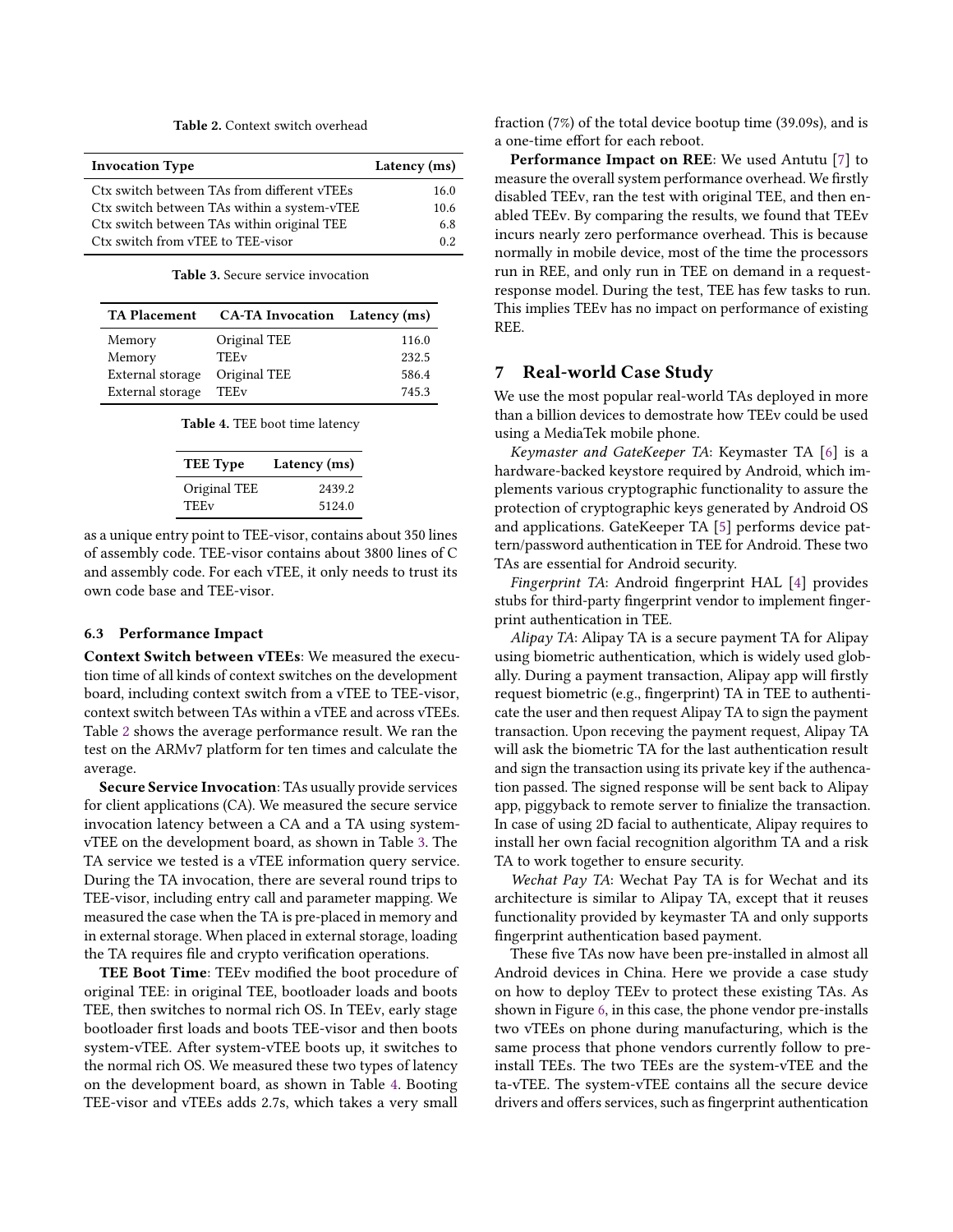Table 2. Context switch overhead

<span id="page-10-0"></span>

| Latency (ms) |
|--------------|
| 16.0         |
| 10.6         |
| 6.8          |
| 0.2          |
|              |

Table 3. Secure service invocation

<span id="page-10-2"></span><span id="page-10-1"></span>

| <b>TA Placement</b>              | <b>CA-TA Invocation</b> Latency (ms) |       |
|----------------------------------|--------------------------------------|-------|
| Memory                           | Original TEE                         | 116.0 |
| Memory                           | <b>TEEv</b>                          | 232.5 |
| External storage<br>Original TEE |                                      | 586.4 |
| External storage                 | TEEv                                 | 745.3 |

| <b>TEE</b> Type | Latency (ms) |
|-----------------|--------------|
| Original TEE    | 2439.2       |
| <b>TEEv</b>     | 5124.0       |

as a unique entry point to TEE-visor, contains about 350 lines of assembly code. TEE-visor contains about 3800 lines of C and assembly code. For each vTEE, it only needs to trust its own code base and TEE-visor.

#### 6.3 Performance Impact

Context Switch between vTEEs: We measured the execution time of all kinds of context switches on the development board, including context switch from a vTEE to TEE-visor, context switch between TAs within a vTEE and across vTEEs. Table [2](#page-10-0) shows the average performance result. We ran the test on the ARMv7 platform for ten times and calculate the average.

Secure Service Invocation: TAs usually provide services for client applications (CA). We measured the secure service invocation latency between a CA and a TA using systemvTEE on the development board, as shown in Table [3.](#page-10-1) The TA service we tested is a vTEE information query service. During the TA invocation, there are several round trips to TEE-visor, including entry call and parameter mapping. We measured the case when the TA is pre-placed in memory and in external storage. When placed in external storage, loading the TA requires file and crypto verification operations.

TEE Boot Time: TEEv modified the boot procedure of original TEE: in original TEE, bootloader loads and boots TEE, then switches to normal rich OS. In TEEv, early stage bootloader first loads and boots TEE-visor and then boots system-vTEE. After system-vTEE boots up, it switches to the normal rich OS. We measured these two types of latency on the development board, as shown in Table [4.](#page-10-2) Booting TEE-visor and vTEEs adds 2.7s, which takes a very small fraction (7%) of the total device bootup time (39.09s), and is a one-time effort for each reboot.

Performance Impact on REE: We used Antutu [\[7\]](#page-12-18) to measure the overall system performance overhead. We firstly disabled TEEv, ran the test with original TEE, and then enabled TEEv. By comparing the results, we found that TEEv incurs nearly zero performance overhead. This is because normally in mobile device, most of the time the processors run in REE, and only run in TEE on demand in a requestresponse model. During the test, TEE has few tasks to run. This implies TEEv has no impact on performance of existing REE.

# 7 Real-world Case Study

We use the most popular real-world TAs deployed in more than a billion devices to demostrate how TEEv could be used using a MediaTek mobile phone.

Keymaster and GateKeeper TA: Keymaster TA [\[6\]](#page-12-19) is a hardware-backed keystore required by Android, which implements various cryptographic functionality to assure the protection of cryptographic keys generated by Android OS and applications. GateKeeper TA [\[5\]](#page-12-20) performs device pattern/password authentication in TEE for Android. These two TAs are essential for Android security.

Fingerprint TA: Android fingerprint HAL [\[4\]](#page-12-21) provides stubs for third-party fingerprint vendor to implement fingerprint authentication in TEE.

Alipay TA: Alipay TA is a secure payment TA for Alipay using biometric authentication, which is widely used globally. During a payment transaction, Alipay app will firstly request biometric (e.g., fingerprint) TA in TEE to authenticate the user and then request Alipay TA to sign the payment transaction. Upon receving the payment request, Alipay TA will ask the biometric TA for the last authentication result and sign the transaction using its private key if the authencation passed. The signed response will be sent back to Alipay app, piggyback to remote server to finialize the transaction. In case of using 2D facial to authenticate, Alipay requires to install her own facial recognition algorithm TA and a risk TA to work together to ensure security.

Wechat Pay TA: Wechat Pay TA is for Wechat and its architecture is similar to Alipay TA, except that it reuses functionality provided by keymaster TA and only supports fingerprint authentication based payment.

These five TAs now have been pre-installed in almost all Android devices in China. Here we provide a case study on how to deploy TEEv to protect these existing TAs. As shown in Figure [6,](#page-11-0) in this case, the phone vendor pre-installs two vTEEs on phone during manufacturing, which is the same process that phone vendors currently follow to preinstall TEEs. The two TEEs are the system-vTEE and the ta-vTEE. The system-vTEE contains all the secure device drivers and offers services, such as fingerprint authentication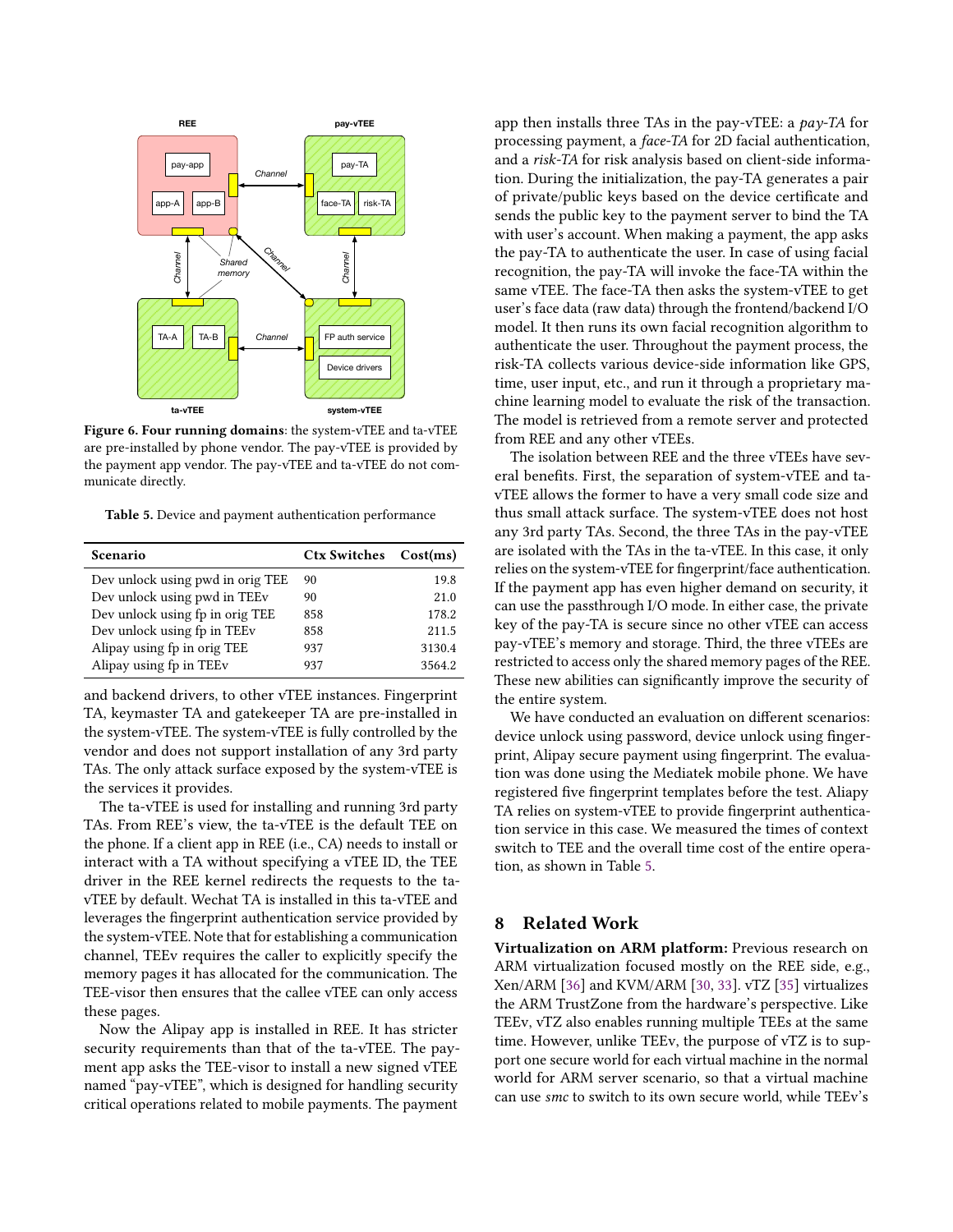<span id="page-11-0"></span>

Figure 6. Four running domains: the system-vTEE and ta-vTEE are pre-installed by phone vendor. The pay-vTEE is provided by the payment app vendor. The pay-vTEE and ta-vTEE do not communicate directly.

<span id="page-11-1"></span>Table 5. Device and payment authentication performance

| Scenario                                | Ctx Switches Cost(ms) |        |
|-----------------------------------------|-----------------------|--------|
| Dev unlock using pwd in orig TEE        | 90                    | 19.8   |
| Dev unlock using pwd in TEEv            | 90                    | 21.0   |
| Dev unlock using fp in orig TEE         | 858                   | 178.2  |
| Dev unlock using fp in TEE <sub>v</sub> | 858                   | 211.5  |
| Alipay using fp in orig TEE             | 937                   | 3130.4 |
| Alipay using fp in TEEv                 | 937                   | 3564.2 |

and backend drivers, to other vTEE instances. Fingerprint TA, keymaster TA and gatekeeper TA are pre-installed in the system-vTEE. The system-vTEE is fully controlled by the vendor and does not support installation of any 3rd party TAs. The only attack surface exposed by the system-vTEE is the services it provides.

The ta-vTEE is used for installing and running 3rd party TAs. From REE's view, the ta-vTEE is the default TEE on the phone. If a client app in REE (i.e., CA) needs to install or interact with a TA without specifying a vTEE ID, the TEE driver in the REE kernel redirects the requests to the tavTEE by default. Wechat TA is installed in this ta-vTEE and leverages the fingerprint authentication service provided by the system-vTEE. Note that for establishing a communication channel, TEEv requires the caller to explicitly specify the memory pages it has allocated for the communication. The TEE-visor then ensures that the callee vTEE can only access these pages.

Now the Alipay app is installed in REE. It has stricter security requirements than that of the ta-vTEE. The payment app asks the TEE-visor to install a new signed vTEE named "pay-vTEE", which is designed for handling security critical operations related to mobile payments. The payment

app then installs three TAs in the pay-vTEE: a  $pay$ -TA for processing payment, a face-TA for 2D facial authentication, and a risk-TA for risk analysis based on client-side information. During the initialization, the pay-TA generates a pair of private/public keys based on the device certificate and sends the public key to the payment server to bind the TA with user's account. When making a payment, the app asks the pay-TA to authenticate the user. In case of using facial recognition, the pay-TA will invoke the face-TA within the same vTEE. The face-TA then asks the system-vTEE to get user's face data (raw data) through the frontend/backend I/O model. It then runs its own facial recognition algorithm to authenticate the user. Throughout the payment process, the risk-TA collects various device-side information like GPS, time, user input, etc., and run it through a proprietary machine learning model to evaluate the risk of the transaction. The model is retrieved from a remote server and protected from REE and any other vTEEs.

The isolation between REE and the three vTEEs have several benefits. First, the separation of system-vTEE and tavTEE allows the former to have a very small code size and thus small attack surface. The system-vTEE does not host any 3rd party TAs. Second, the three TAs in the pay-vTEE are isolated with the TAs in the ta-vTEE. In this case, it only relies on the system-vTEE for fingerprint/face authentication. If the payment app has even higher demand on security, it can use the passthrough I/O mode. In either case, the private key of the pay-TA is secure since no other vTEE can access pay-vTEE's memory and storage. Third, the three vTEEs are restricted to access only the shared memory pages of the REE. These new abilities can significantly improve the security of the entire system.

We have conducted an evaluation on different scenarios: device unlock using password, device unlock using fingerprint, Alipay secure payment using fingerprint. The evaluation was done using the Mediatek mobile phone. We have registered five fingerprint templates before the test. Aliapy TA relies on system-vTEE to provide fingerprint authentication service in this case. We measured the times of context switch to TEE and the overall time cost of the entire operation, as shown in Table [5.](#page-11-1)

# 8 Related Work

Virtualization on ARM platform: Previous research on ARM virtualization focused mostly on the REE side, e.g., Xen/ARM [\[36\]](#page-13-9) and KVM/ARM [\[30,](#page-13-10) [33\]](#page-13-11). vTZ [\[35\]](#page-13-12) virtualizes the ARM TrustZone from the hardware's perspective. Like TEEv, vTZ also enables running multiple TEEs at the same time. However, unlike TEEv, the purpose of vTZ is to support one secure world for each virtual machine in the normal world for ARM server scenario, so that a virtual machine can use smc to switch to its own secure world, while TEEv's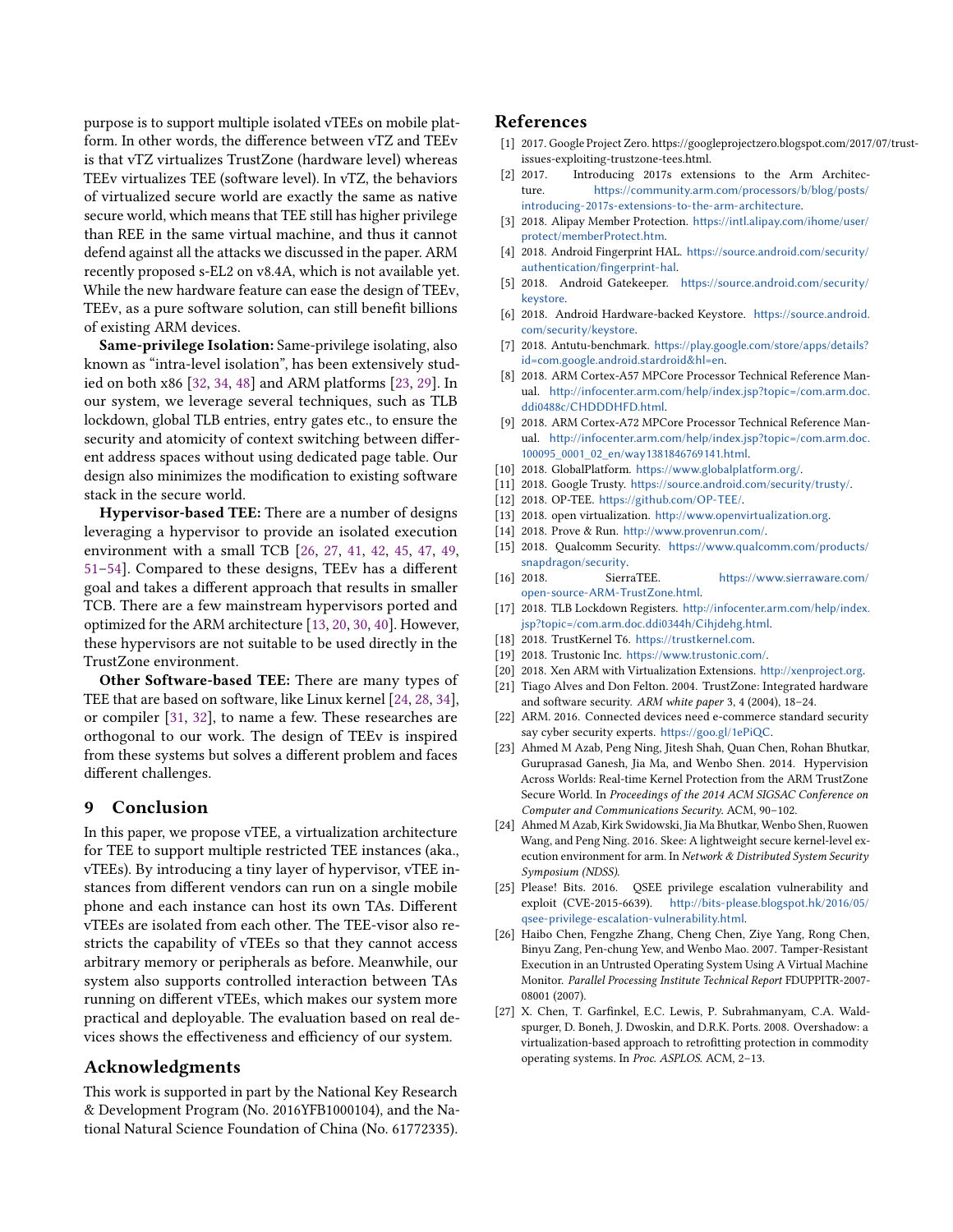purpose is to support multiple isolated vTEEs on mobile platform. In other words, the difference between vTZ and TEEv is that vTZ virtualizes TrustZone (hardware level) whereas TEEv virtualizes TEE (software level). In vTZ, the behaviors of virtualized secure world are exactly the same as native secure world, which means that TEE still has higher privilege than REE in the same virtual machine, and thus it cannot defend against all the attacks we discussed in the paper. ARM recently proposed s-EL2 on v8.4A, which is not available yet. While the new hardware feature can ease the design of TEEv, TEEv, as a pure software solution, can still benefit billions of existing ARM devices.

Same-privilege Isolation: Same-privilege isolating, also known as "intra-level isolation", has been extensively studied on both x86 [\[32,](#page-13-5) [34,](#page-13-6) [48\]](#page-13-13) and ARM platforms [\[23,](#page-12-13) [29\]](#page-13-14). In our system, we leverage several techniques, such as TLB lockdown, global TLB entries, entry gates etc., to ensure the security and atomicity of context switching between different address spaces without using dedicated page table. Our design also minimizes the modification to existing software stack in the secure world.

Hypervisor-based TEE: There are a number of designs leveraging a hypervisor to provide an isolated execution environment with a small TCB [\[26,](#page-12-22) [27,](#page-12-23) [41,](#page-13-15) [42,](#page-13-16) [45,](#page-13-17) [47,](#page-13-18) [49,](#page-13-19) [51](#page-13-20)[–54\]](#page-13-21). Compared to these designs, TEEv has a different goal and takes a different approach that results in smaller TCB. There are a few mainstream hypervisors ported and optimized for the ARM architecture [\[13,](#page-12-24) [20,](#page-12-25) [30,](#page-13-10) [40\]](#page-13-22). However, these hypervisors are not suitable to be used directly in the TrustZone environment.

Other Software-based TEE: There are many types of TEE that are based on software, like Linux kernel [\[24,](#page-12-17) [28,](#page-13-23) [34\]](#page-13-6), or compiler [\[31,](#page-13-24) [32\]](#page-13-5), to name a few. These researches are orthogonal to our work. The design of TEEv is inspired from these systems but solves a different problem and faces different challenges.

## 9 Conclusion

In this paper, we propose vTEE, a virtualization architecture for TEE to support multiple restricted TEE instances (aka., vTEEs). By introducing a tiny layer of hypervisor, vTEE instances from different vendors can run on a single mobile phone and each instance can host its own TAs. Different vTEEs are isolated from each other. The TEE-visor also restricts the capability of vTEEs so that they cannot access arbitrary memory or peripherals as before. Meanwhile, our system also supports controlled interaction between TAs running on different vTEEs, which makes our system more practical and deployable. The evaluation based on real devices shows the effectiveness and efficiency of our system.

# Acknowledgments

This work is supported in part by the National Key Research & Development Program (No. 2016YFB1000104), and the National Natural Science Foundation of China (No. 61772335).

# References

- <span id="page-12-11"></span>[1] 2017. Google Project Zero. https://googleprojectzero.blogspot.com/2017/07/trustissues-exploiting-trustzone-tees.html.
- <span id="page-12-10"></span>[2] 2017. Introducing 2017s extensions to the Arm Architecture. [https://community.arm.com/processors/b/blog/posts/](https://community.arm.com/processors/b/blog/posts/introducing-2017s-extensions-to-the-arm-architecture) [introducing-2017s-extensions-to-the-arm-architecture](https://community.arm.com/processors/b/blog/posts/introducing-2017s-extensions-to-the-arm-architecture).
- <span id="page-12-12"></span>[3] 2018. Alipay Member Protection. [https://intl.alipay.com/ihome/user/](https://intl.alipay.com/ihome/user/protect/memberProtect.htm) [protect/memberProtect.htm](https://intl.alipay.com/ihome/user/protect/memberProtect.htm).
- <span id="page-12-21"></span>[4] 2018. Android Fingerprint HAL. [https://source.android.com/security/](https://source.android.com/security/authentication/fingerprint-hal) [authentication/fingerprint-hal](https://source.android.com/security/authentication/fingerprint-hal).
- <span id="page-12-20"></span>[5] 2018. Android Gatekeeper. [https://source.android.com/security/](https://source.android.com/security/keystore) [keystore](https://source.android.com/security/keystore).
- <span id="page-12-19"></span>[6] 2018. Android Hardware-backed Keystore. [https://source.android.](https://source.android.com/security/keystore) [com/security/keystore](https://source.android.com/security/keystore).
- <span id="page-12-18"></span>[7] 2018. Antutu-benchmark. [https://play.google.com/store/apps/details?](https://play.google.com/store/apps/details?id=com.google.android.stardroid&hl=en) [id=com.google.android.stardroid&hl=en](https://play.google.com/store/apps/details?id=com.google.android.stardroid&hl=en).
- <span id="page-12-15"></span>[8] 2018. ARM Cortex-A57 MPCore Processor Technical Reference Manual. [http://infocenter.arm.com/help/index.jsp?topic=/com.arm.doc.](http://infocenter.arm.com/help/index.jsp?topic=/com.arm.doc.ddi0488c/CHDDDHFD.html) [ddi0488c/CHDDDHFD.html](http://infocenter.arm.com/help/index.jsp?topic=/com.arm.doc.ddi0488c/CHDDDHFD.html).
- <span id="page-12-16"></span>[9] 2018. ARM Cortex-A72 MPCore Processor Technical Reference Manual. [http://infocenter.arm.com/help/index.jsp?topic=/com.arm.doc.](http://infocenter.arm.com/help/index.jsp?topic=/com.arm.doc.100095_0001_02_en/way1381846769141.html) [100095\\_0001\\_02\\_en/way1381846769141.html](http://infocenter.arm.com/help/index.jsp?topic=/com.arm.doc.100095_0001_02_en/way1381846769141.html).
- <span id="page-12-7"></span>[10] 2018. GlobalPlatform. <https://www.globalplatform.org/>.
- <span id="page-12-3"></span>[11] 2018. Google Trusty. <https://source.android.com/security/trusty/>.
- <span id="page-12-4"></span>[12] 2018. OP-TEE. <https://github.com/OP-TEE/>.
- <span id="page-12-24"></span>[13] 2018. open virtualization. <http://www.openvirtualization.org>.
- <span id="page-12-6"></span>[14] 2018. Prove & Run. <http://www.provenrun.com/>.
- <span id="page-12-0"></span>[15] 2018. Qualcomm Security. [https://www.qualcomm.com/products/](https://www.qualcomm.com/products/snapdragon/security) [snapdragon/security](https://www.qualcomm.com/products/snapdragon/security).
- <span id="page-12-5"></span>[16] 2018. SierraTEE. [https://www.sierraware.com/](https://www.sierraware.com/open-source-ARM-TrustZone.html) [open-source-ARM-TrustZone.html](https://www.sierraware.com/open-source-ARM-TrustZone.html).
- <span id="page-12-14"></span>[17] 2018. TLB Lockdown Registers. [http://infocenter.arm.com/help/index.](http://infocenter.arm.com/help/index.jsp?topic=/com.arm.doc.ddi0344h/Cihjdehg.html) [jsp?topic=/com.arm.doc.ddi0344h/Cihjdehg.html](http://infocenter.arm.com/help/index.jsp?topic=/com.arm.doc.ddi0344h/Cihjdehg.html).
- <span id="page-12-1"></span>[18] 2018. TrustKernel T6. <https://trustkernel.com>.
- <span id="page-12-2"></span>[19] 2018. Trustonic Inc. <https://www.trustonic.com/>.
- <span id="page-12-25"></span>[20] 2018. Xen ARM with Virtualization Extensions. <http://xenproject.org>.
- <span id="page-12-9"></span>[21] Tiago Alves and Don Felton. 2004. TrustZone: Integrated hardware and software security. ARM white paper 3, 4 (2004), 18–24.
- <span id="page-12-8"></span>[22] ARM. 2016. Connected devices need e-commerce standard security say cyber security experts. <https://goo.gl/1ePiQC>.
- <span id="page-12-13"></span>[23] Ahmed M Azab, Peng Ning, Jitesh Shah, Quan Chen, Rohan Bhutkar, Guruprasad Ganesh, Jia Ma, and Wenbo Shen. 2014. Hypervision Across Worlds: Real-time Kernel Protection from the ARM TrustZone Secure World. In Proceedings of the 2014 ACM SIGSAC Conference on Computer and Communications Security. ACM, 90–102.
- <span id="page-12-17"></span>[24] Ahmed M Azab, Kirk Swidowski, Jia Ma Bhutkar, Wenbo Shen, Ruowen Wang, and Peng Ning. 2016. Skee: A lightweight secure kernel-level execution environment for arm. In Network & Distributed System Security Symposium (NDSS).
- <span id="page-12-26"></span>[25] Please! Bits. 2016. QSEE privilege escalation vulnerability and exploit (CVE-2015-6639). [http://bits-please.blogspot.hk/2016/05/](http://bits-please.blogspot.hk/2016/05/qsee-privilege-escalation-vulnerability.html) [qsee-privilege-escalation-vulnerability.html](http://bits-please.blogspot.hk/2016/05/qsee-privilege-escalation-vulnerability.html).
- <span id="page-12-22"></span>[26] Haibo Chen, Fengzhe Zhang, Cheng Chen, Ziye Yang, Rong Chen, Binyu Zang, Pen-chung Yew, and Wenbo Mao. 2007. Tamper-Resistant Execution in an Untrusted Operating System Using A Virtual Machine Monitor. Parallel Processing Institute Technical Report FDUPPITR-2007- 08001 (2007).
- <span id="page-12-23"></span>[27] X. Chen, T. Garfinkel, E.C. Lewis, P. Subrahmanyam, C.A. Waldspurger, D. Boneh, J. Dwoskin, and D.R.K. Ports. 2008. Overshadow: a virtualization-based approach to retrofitting protection in commodity operating systems. In Proc. ASPLOS. ACM, 2–13.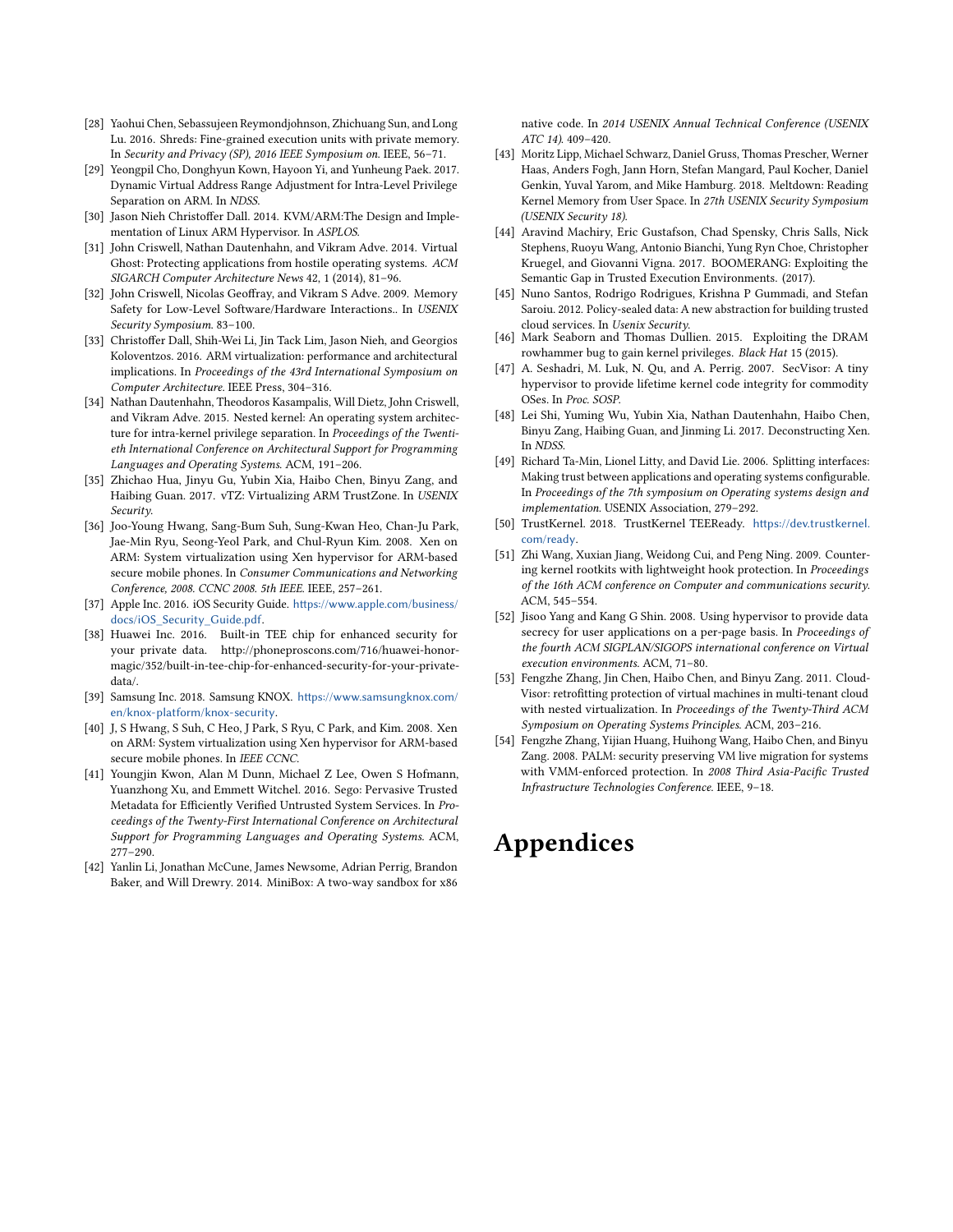- <span id="page-13-23"></span>[28] Yaohui Chen, Sebassujeen Reymondjohnson, Zhichuang Sun, and Long Lu. 2016. Shreds: Fine-grained execution units with private memory. In Security and Privacy (SP), 2016 IEEE Symposium on. IEEE, 56–71.
- <span id="page-13-14"></span>[29] Yeongpil Cho, Donghyun Kown, Hayoon Yi, and Yunheung Paek. 2017. Dynamic Virtual Address Range Adjustment for Intra-Level Privilege Separation on ARM. In NDSS.
- <span id="page-13-10"></span>[30] Jason Nieh Christoffer Dall. 2014. KVM/ARM:The Design and Implementation of Linux ARM Hypervisor. In ASPLOS.
- <span id="page-13-24"></span>[31] John Criswell, Nathan Dautenhahn, and Vikram Adve. 2014. Virtual Ghost: Protecting applications from hostile operating systems. ACM SIGARCH Computer Architecture News 42, 1 (2014), 81–96.
- <span id="page-13-5"></span>[32] John Criswell, Nicolas Geoffray, and Vikram S Adve. 2009. Memory Safety for Low-Level Software/Hardware Interactions.. In USENIX Security Symposium. 83–100.
- <span id="page-13-11"></span>[33] Christoffer Dall, Shih-Wei Li, Jin Tack Lim, Jason Nieh, and Georgios Koloventzos. 2016. ARM virtualization: performance and architectural implications. In Proceedings of the 43rd International Symposium on Computer Architecture. IEEE Press, 304–316.
- <span id="page-13-6"></span>[34] Nathan Dautenhahn, Theodoros Kasampalis, Will Dietz, John Criswell, and Vikram Adve. 2015. Nested kernel: An operating system architecture for intra-kernel privilege separation. In Proceedings of the Twentieth International Conference on Architectural Support for Programming Languages and Operating Systems. ACM, 191–206.
- <span id="page-13-12"></span>[35] Zhichao Hua, Jinyu Gu, Yubin Xia, Haibo Chen, Binyu Zang, and Haibing Guan. 2017. vTZ: Virtualizing ARM TrustZone. In USENIX Security.
- <span id="page-13-9"></span>[36] Joo-Young Hwang, Sang-Bum Suh, Sung-Kwan Heo, Chan-Ju Park, Jae-Min Ryu, Seong-Yeol Park, and Chul-Ryun Kim. 2008. Xen on ARM: System virtualization using Xen hypervisor for ARM-based secure mobile phones. In Consumer Communications and Networking Conference, 2008. CCNC 2008. 5th IEEE. IEEE, 257–261.
- <span id="page-13-2"></span>[37] Apple Inc. 2016. iOS Security Guide. [https://www.apple.com/business/](https://www.apple.com/business/docs/iOS_Security_Guide.pdf) [docs/iOS\\_Security\\_Guide.pdf](https://www.apple.com/business/docs/iOS_Security_Guide.pdf).
- <span id="page-13-1"></span>[38] Huawei Inc. 2016. Built-in TEE chip for enhanced security for your private data. http://phoneproscons.com/716/huawei-honormagic/352/built-in-tee-chip-for-enhanced-security-for-your-privatedata/.
- <span id="page-13-0"></span>[39] Samsung Inc. 2018. Samsung KNOX. [https://www.samsungknox.com/](https://www.samsungknox.com/en/knox-platform/knox-security) [en/knox-platform/knox-security](https://www.samsungknox.com/en/knox-platform/knox-security).
- <span id="page-13-22"></span>[40] J, S Hwang, S Suh, C Heo, J Park, S Ryu, C Park, and Kim. 2008. Xen on ARM: System virtualization using Xen hypervisor for ARM-based secure mobile phones. In IEEE CCNC.
- <span id="page-13-15"></span>[41] Youngjin Kwon, Alan M Dunn, Michael Z Lee, Owen S Hofmann, Yuanzhong Xu, and Emmett Witchel. 2016. Sego: Pervasive Trusted Metadata for Efficiently Verified Untrusted System Services. In Proceedings of the Twenty-First International Conference on Architectural Support for Programming Languages and Operating Systems. ACM, 277–290.
- <span id="page-13-16"></span>[42] Yanlin Li, Jonathan McCune, James Newsome, Adrian Perrig, Brandon Baker, and Will Drewry. 2014. MiniBox: A two-way sandbox for x86

native code. In 2014 USENIX Annual Technical Conference (USENIX ATC 14). 409–420.

- <span id="page-13-8"></span>[43] Moritz Lipp, Michael Schwarz, Daniel Gruss, Thomas Prescher, Werner Haas, Anders Fogh, Jann Horn, Stefan Mangard, Paul Kocher, Daniel Genkin, Yuval Yarom, and Mike Hamburg. 2018. Meltdown: Reading Kernel Memory from User Space. In 27th USENIX Security Symposium (USENIX Security 18).
- <span id="page-13-4"></span>[44] Aravind Machiry, Eric Gustafson, Chad Spensky, Chris Salls, Nick Stephens, Ruoyu Wang, Antonio Bianchi, Yung Ryn Choe, Christopher Kruegel, and Giovanni Vigna. 2017. BOOMERANG: Exploiting the Semantic Gap in Trusted Execution Environments. (2017).
- <span id="page-13-17"></span>[45] Nuno Santos, Rodrigo Rodrigues, Krishna P Gummadi, and Stefan Saroiu. 2012. Policy-sealed data: A new abstraction for building trusted cloud services. In Usenix Security.
- <span id="page-13-7"></span>[46] Mark Seaborn and Thomas Dullien. 2015. Exploiting the DRAM rowhammer bug to gain kernel privileges. Black Hat 15 (2015).
- <span id="page-13-18"></span>[47] A. Seshadri, M. Luk, N. Qu, and A. Perrig. 2007. SecVisor: A tiny hypervisor to provide lifetime kernel code integrity for commodity OSes. In Proc. SOSP.
- <span id="page-13-13"></span>[48] Lei Shi, Yuming Wu, Yubin Xia, Nathan Dautenhahn, Haibo Chen, Binyu Zang, Haibing Guan, and Jinming Li. 2017. Deconstructing Xen. In NDSS.
- <span id="page-13-19"></span>[49] Richard Ta-Min, Lionel Litty, and David Lie. 2006. Splitting interfaces: Making trust between applications and operating systems configurable. In Proceedings of the 7th symposium on Operating systems design and implementation. USENIX Association, 279–292.
- <span id="page-13-3"></span>[50] TrustKernel. 2018. TrustKernel TEEReady. [https://dev.trustkernel.](https://dev.trustkernel.com/ready) [com/ready](https://dev.trustkernel.com/ready).
- <span id="page-13-20"></span>[51] Zhi Wang, Xuxian Jiang, Weidong Cui, and Peng Ning. 2009. Countering kernel rootkits with lightweight hook protection. In Proceedings of the 16th ACM conference on Computer and communications security. ACM, 545–554.
- [52] Jisoo Yang and Kang G Shin. 2008. Using hypervisor to provide data secrecy for user applications on a per-page basis. In Proceedings of the fourth ACM SIGPLAN/SIGOPS international conference on Virtual execution environments. ACM, 71–80.
- [53] Fengzhe Zhang, Jin Chen, Haibo Chen, and Binyu Zang. 2011. Cloud-Visor: retrofitting protection of virtual machines in multi-tenant cloud with nested virtualization. In Proceedings of the Twenty-Third ACM Symposium on Operating Systems Principles. ACM, 203–216.
- <span id="page-13-21"></span>[54] Fengzhe Zhang, Yijian Huang, Huihong Wang, Haibo Chen, and Binyu Zang. 2008. PALM: security preserving VM live migration for systems with VMM-enforced protection. In 2008 Third Asia-Pacific Trusted Infrastructure Technologies Conference. IEEE, 9–18.

# Appendices